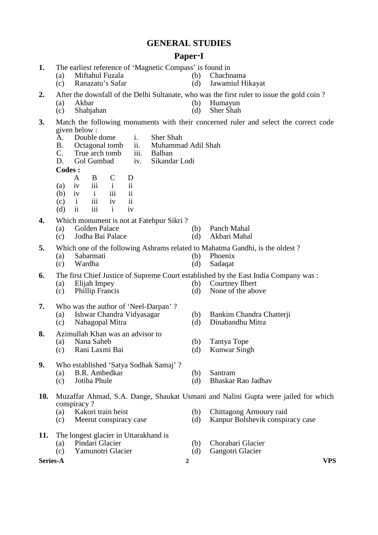# **GENERAL STUDIES**

## **Paper**-**I**

- **1.** The earliest reference of 'Magnetic Compass' is found in
	- (a) Miftahul Fuzala (b) Chachnama<br>
	(c) Ranazatu's Safar (d) Jawamiul Hi
	- (c) Ranazatu's Safar (d) Jawamiul Hikayat
- **2.** After the downfall of the Delhi Sultanate, who was the first ruler to issue the gold coin ?
	- (a) Akbar (b) Humayun<br>
	(c) Shahiahan (d) Sher Shah
	- $(c)$  Shahjahan  $(d)$
- **3.** Match the following monuments with their concerned ruler and select the correct code given below :<br>A Double
	- A. Double dome i. Sher Shah B. Octagonal tomb ii. Muhamma
	- B. Octagonal tomb ii. Muhammad Adil Shah<br>C. True arch tomb iii. Balban
		- True arch tomb<br>Gol Gumbad
	- D. Gol Gumbad iv. Sikandar Lodi

**Codes :** 

- A B C D
- (a) iv iii i ii
- (b) iv i iii ii
- (c) i iii iv ii
- (d) ii iii i iv

## **4.** Which monument is not at Fatehpur Sikri ?

- 
- (a) Golden Palace (b) Panch Mahal<br>
(c) Jodha Bai Palace (d) Akbari Mahal  $(c)$  Jodha Bai Palace  $(d)$
- **5.** Which one of the following Ashrams related to Mahatma Gandhi, is the oldest ?<br>(a) Sabarmati (b) Phoenix
	- $(a)$  Sabarmati (b)
	- (c) Wardha (d) Sadaqat

**6.** The first Chief Justice of Supreme Court established by the East India Company was :

- 
- (a) Elijah Impey (b) Courtney Ilbert (c) Phillip Francis (d) None of the abo
- **7.** Who was the author of 'Neel-Darpan' ?
	- (a) Ishwar Chandra Vidyasagar (b) Bankim Chandra Chatterji
	- (c) Nabagopal Mitra (d) Dinabandhu Mitra
- **8.** Azimullah Khan was an advisor to<br>(a) Nana Saheb
	- (a) Nana Saheb (b) Tantya Tope
	- (c) Rani Laxmi Bai (d) Kunwar Singh
- **9.** Who established 'Satya Sodhak Samaj' ?
	-
	- (a) B.R. Ambedkar (b) Santram<br>
	(c) Jotiba Phule (d) Bhaskar (c) Jotiba Phule (d) Bhaskar Rao Jadhav

# **10.** Muzaffar Ahmad, S.A. Dange, Shaukat Usmani and Nalini Gupta were jailed for which conspiracy ?

- 
- 
- **11.** The longest glacier in Uttarakhand is<br>(a) Pindari Glacier
	- -
- 
- 

None of the above

- (a) Kakori train heist (b) Chittagong Armoury raid
- (c) Meerut conspiracy case (d) Kanpur Bolshevik conspiracy case
- (a) Pindari Glacier (b) Chorabari Glacier
- (c) Yamunotri Glacier (d) Gangotri Glacier

**Series-A 2 VPS**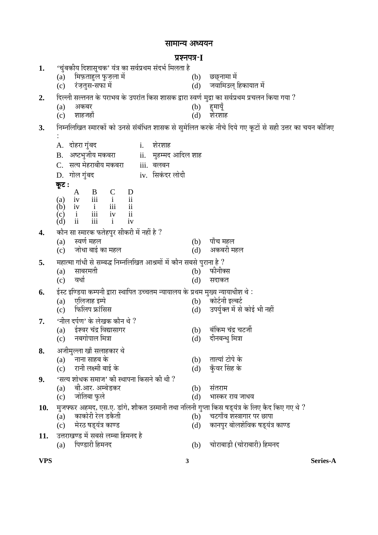# सामान्य अध्ययन

# ¯ÖÏ¿®Ö¯Ö¡Ö-**I**

| 1.  | 'चुंबकीय दिशासूचक' यंत्र का सर्वप्रथम संदर्भ मिलता है                                                                                                                                                                                                                                                                   |                                |
|-----|-------------------------------------------------------------------------------------------------------------------------------------------------------------------------------------------------------------------------------------------------------------------------------------------------------------------------|--------------------------------|
|     | मिफ़ताहुल फुज़ला में<br>(b)<br>(a)                                                                                                                                                                                                                                                                                      | छछनामा मे                      |
|     | रंजतुस-सफा में<br>(d)<br>(c)                                                                                                                                                                                                                                                                                            | जवामिउल् हिकायात में           |
| 2.  | दिल्ली सल्तनत के पराभव के उपरांत किस शासक द्वारा स्वर्ण मुद्रा का सर्वप्रथम प्रचलन किया गया ?                                                                                                                                                                                                                           |                                |
|     | (b)<br>(a)<br>अकबर                                                                                                                                                                                                                                                                                                      | हुमायूँ                        |
|     | शाहजहाँ<br>(d)<br>(c)                                                                                                                                                                                                                                                                                                   | शेरशाह                         |
| 3.  | निम्नलिखित स्मारकों को उनसे संबंधित शासक से सुमेलित करके नीचे दिये गए कूटों से सही उत्तर का चयन कीजिए                                                                                                                                                                                                                   |                                |
|     |                                                                                                                                                                                                                                                                                                                         |                                |
|     | A. दोहरा गुंबद<br>शेरशाह<br>i.                                                                                                                                                                                                                                                                                          |                                |
|     | B. अष्टभुजीय मकबरा<br>ii. मुहम्मद आदिल शाह                                                                                                                                                                                                                                                                              |                                |
|     | C. सत्य मेहराबीय मकबरा<br>iii. बलबन                                                                                                                                                                                                                                                                                     |                                |
|     | iv. सिकंदर लोदी<br>D. गोल गुंबद                                                                                                                                                                                                                                                                                         |                                |
|     | कूट :                                                                                                                                                                                                                                                                                                                   |                                |
|     | $\begin{array}{ccccccccc} \sim & {\bf A} & {\bf B} & {\bf C} & {\bf D} \\ ({\bf a}) & {\bf iv} & {\bf iii} & {\bf i} & {\bf ii} \\ ({\bf b}) & {\bf iv} & {\bf i} & {\bf iii} & {\bf ii} \\ ({\bf c}) & {\bf i} & {\bf iii} & {\bf iv} & {\bf ii} \\ ({\bf d}) & {\bf ii} & {\bf iii} & {\bf i} & {\bf iv} \end{array}$ |                                |
|     |                                                                                                                                                                                                                                                                                                                         |                                |
|     |                                                                                                                                                                                                                                                                                                                         |                                |
|     |                                                                                                                                                                                                                                                                                                                         |                                |
| 4.  | कौन सा स्मारक फतेहपुर सीकरी में नहीं है ?                                                                                                                                                                                                                                                                               |                                |
|     | स्वर्ण महल<br>(a)<br>(b)                                                                                                                                                                                                                                                                                                | पाँच महल                       |
|     | जोधा बाई का महल<br>(d)<br>(c)                                                                                                                                                                                                                                                                                           | अकबरी महल                      |
| 5.  | महात्मा गांधी से सम्बद्ध निम्नलिखित आश्रमों में कौन सबसे पुराना है ?                                                                                                                                                                                                                                                    |                                |
|     | साबरमती<br>(b)<br>(a)                                                                                                                                                                                                                                                                                                   | फीनीक्स                        |
|     | वधो<br>(d)<br>(c)                                                                                                                                                                                                                                                                                                       | सदाकत                          |
| 6.  | ईस्ट इण्डिया कम्पनी द्वारा स्थापित उच्चतम न्यायालय के प्रथम मुख्य न्यायाधीश थे :                                                                                                                                                                                                                                        |                                |
|     | एलिजाह इम्पे<br>(b)<br>(a)                                                                                                                                                                                                                                                                                              | कोर्टनी इल्बर्ट                |
|     | फिलिप फ्रांसिस<br>(d)<br>(c)                                                                                                                                                                                                                                                                                            | उपर्युक्त में से कोई भी नहीं   |
| 7.  | 'नील दर्पण' के लेखक कौन थे ?                                                                                                                                                                                                                                                                                            |                                |
|     | (a) ईश्वर चंद्र विद्यासागर                                                                                                                                                                                                                                                                                              | (b) बंकिम चंद्र चटर्जी         |
|     | नबगोपाल मित्रा<br>(c)<br>(d)                                                                                                                                                                                                                                                                                            | दीनबन्धु मित्रा                |
| 8.  | अजीमुल्ला खाँ सलाहकार थे                                                                                                                                                                                                                                                                                                |                                |
|     | नाना साहब के<br>(a)<br>(b)                                                                                                                                                                                                                                                                                              | तात्यां टोपे के                |
|     | रानी लक्ष्मी बाई के<br>(d)<br>(c)                                                                                                                                                                                                                                                                                       | कुँवर सिंह के                  |
| 9.  | 'सत्य शोधक समाज' की स्थापना किसने की थी ?                                                                                                                                                                                                                                                                               |                                |
|     | बी.आर. अम्बेडकर<br>(a)<br>(b)                                                                                                                                                                                                                                                                                           | संतराम                         |
|     | जोतिबा फुले<br>(d)<br>(c)                                                                                                                                                                                                                                                                                               | भास्कर राव जाधव                |
| 10. | मुजफ्फर अहमद, एस.ए. डांगे, शौकत उस्मानी तथा नलिनी गुप्ता किस षड्यंत्र के लिए कैद किए गए थे ?                                                                                                                                                                                                                            |                                |
|     | काकोरी रेल डकैती<br>(b)<br>(a)                                                                                                                                                                                                                                                                                          | चटगाँव शस्त्रागार पर छापा      |
|     | मेरठ षड्यंत्र काण्ड<br>(c)<br>(d)                                                                                                                                                                                                                                                                                       | कानपुर बोलशेविक षड्यंत्र काण्ड |
| 11. | उत्तराखण्ड में सबसे लम्बा हिमनद है                                                                                                                                                                                                                                                                                      |                                |
|     | पिण्डारी हिमनद<br>(a)<br>(b)                                                                                                                                                                                                                                                                                            | चोराबाड़ी (चोराबारी) हिमनद     |

**VPS 3 Series-A**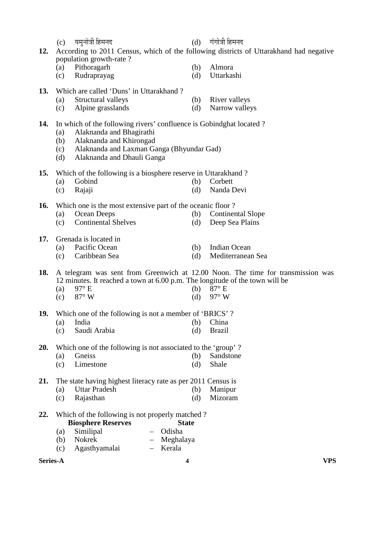|     | (c)               | यमुनोत्री हिमनद                                                              | (d)          | गंगोत्री हिमनद                                                                         |
|-----|-------------------|------------------------------------------------------------------------------|--------------|----------------------------------------------------------------------------------------|
| 12. |                   | population growth-rate?                                                      |              | According to 2011 Census, which of the following districts of Uttarakhand had negative |
|     | (a)               | Pithoragarh                                                                  | (b)          | Almora                                                                                 |
|     | (c)               | Rudraprayag                                                                  | (d)          | Uttarkashi                                                                             |
| 13. |                   | Which are called 'Duns' in Uttarakhand ?                                     |              |                                                                                        |
|     | (a)               | Structural valleys                                                           | (b)          | River valleys                                                                          |
|     | (c)               | Alpine grasslands                                                            | (d)          | Narrow valleys                                                                         |
| 14. |                   | In which of the following rivers' confluence is Gobindghat located?          |              |                                                                                        |
|     | (a)               | Alaknanda and Bhagirathi                                                     |              |                                                                                        |
|     | (b)<br>(c)        | Alaknanda and Khirongad<br>Alaknanda and Laxman Ganga (Bhyundar Gad)         |              |                                                                                        |
|     | (d)               | Alaknanda and Dhauli Ganga                                                   |              |                                                                                        |
| 15. |                   | Which of the following is a biosphere reserve in Uttarakhand?                |              |                                                                                        |
|     | (a)               | Gobind                                                                       | (b)          | Corbett                                                                                |
|     | (c)               | Rajaji                                                                       | (d)          | Nanda Devi                                                                             |
| 16. |                   | Which one is the most extensive part of the oceanic floor?                   |              |                                                                                        |
|     | (a)               | Ocean Deeps                                                                  | (b)          | <b>Continental Slope</b>                                                               |
|     | (c)               | <b>Continental Shelves</b>                                                   | (d)          | Deep Sea Plains                                                                        |
| 17. |                   | Grenada is located in                                                        |              |                                                                                        |
|     | (a)               | Pacific Ocean                                                                | (b)          | <b>Indian Ocean</b>                                                                    |
|     | (c)               | Caribbean Sea                                                                | (d)          | Mediterranean Sea                                                                      |
| 18. |                   |                                                                              |              | A telegram was sent from Greenwich at 12.00 Noon. The time for transmission was        |
|     |                   | 12 minutes. It reached a town at 6.00 p.m. The longitude of the town will be |              |                                                                                        |
|     | (a)               | $97^\circ$ E                                                                 | (b)          | $87^\circ$ E                                                                           |
|     | (c)               | 87° W                                                                        | (d)          | 97° W                                                                                  |
| 19. |                   | Which one of the following is not a member of 'BRICS'?                       |              |                                                                                        |
|     | $\left( a\right)$ | India                                                                        | (b)          | China                                                                                  |
|     | (c)               | Saudi Arabia                                                                 | (d)          | <b>Brazil</b>                                                                          |
| 20. |                   | Which one of the following is not associated to the 'group'?                 |              |                                                                                        |
|     | (a)               | Gneiss                                                                       | (b)          | Sandstone                                                                              |
|     | (c)               | Limestone                                                                    | (d)          | Shale                                                                                  |
| 21. |                   | The state having highest literacy rate as per 2011 Census is                 |              |                                                                                        |
|     | (a)               | <b>Uttar Pradesh</b>                                                         | (b)          | Manipur                                                                                |
|     | (c)               | Rajasthan                                                                    | (d)          | Mizoram                                                                                |
| 22. |                   | Which of the following is not properly matched?                              |              |                                                                                        |
|     |                   | <b>Biosphere Reserves</b>                                                    | <b>State</b> |                                                                                        |
|     | (a)               | Odisha<br>Similipal                                                          |              |                                                                                        |
|     | (b)               | Nokrek<br>Meghalaya                                                          |              |                                                                                        |
|     | (c)               | Agasthyamalai<br>Kerala                                                      |              |                                                                                        |

**Series-A 4 VPS**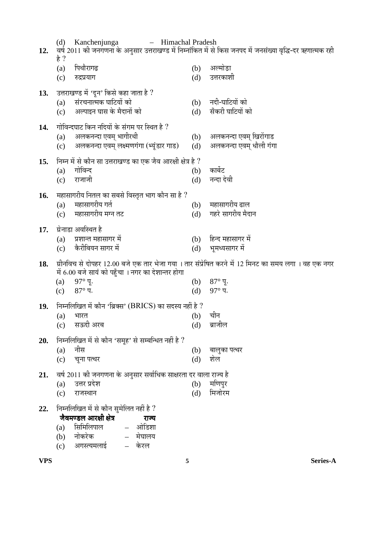| 12. | (d)<br>है ?       | Kanchenjunga<br>- Himachal Pradesh                                                                               |            | वर्ष 2011 की जनगणना के अनुसार उत्तराखण्ड में निम्नांकित में से किस जनपद में जनसंख्या वृद्धि-दर ऋणात्मक रही |
|-----|-------------------|------------------------------------------------------------------------------------------------------------------|------------|------------------------------------------------------------------------------------------------------------|
|     | (a)<br>(c)        | पिथौरागढ़<br>रुद्रप्रयाग                                                                                         | (b)<br>(d) | अल्मोड़ा<br>उत्तरकाशी                                                                                      |
| 13. | (a)<br>(c)        | उत्तराखण्ड में 'दून' किसे कहा जाता है ?<br>संरचनात्मक घाटियों को<br>अल्पाइन घास के मैदानों को                    | (b)<br>(d) | नदी-घाटियों को<br>सँकरी घाटियों को                                                                         |
| 14. | (a)<br>(c)        | गोविन्दघाट किन नदियों के संगम पर स्थित है ?<br>अलकनन्दा एवम् भागीरथी<br>अलकनन्दा एवम् लक्ष्मणगंगा (भ्यूंडार गाड) | (b)<br>(d) | अलकनन्दा एवम् खिरोंगाड<br>अलकनन्दा एवम् धौली गंगा                                                          |
| 15. | (a)<br>(c)        | निम्न में से कौन सा उत्तराखण्ड का एक जैव आरक्षी क्षेत्र है ?<br>गोविन्द<br>राजाजी                                | (b)<br>(d) | कार्बेट<br>नन्दा देवी                                                                                      |
| 16. | (a)<br>(c)        | महासागरीय नितल का सबसे विस्तृत भाग कौन सा है ?<br>महासागरीय गर्त<br>महासागरीय मग्न तट                            | (b)<br>(d) | महासागरीय ढाल<br>गहरे सागरीय मैदान                                                                         |
| 17. | (a)<br>(c)        | ग्रेनाडा अवस्थित है<br>प्रशान्त महासागर में<br>कैरीबियन सागर में                                                 | (d)        | (b) हिन्द महासागर में<br>भूमध्यसागर में                                                                    |
| 18. |                   | में 6.00 बजे सायं को पहुँचा । नगर का देशान्तर होगा                                                               |            | ग्रीनविच से दोपहर 12.00 बजे एक तार भेजा गया । तार संप्रेषित करने में 12 मिनट का समय लगा । वह एक नगर        |
|     | (a)<br>(c)        | $97^\circ$ पू.<br>$87^\circ$ प.                                                                                  | (b)<br>(d) | $87^\circ$ पू.<br>$97^\circ$ प.                                                                            |
| 19. | $\left( a\right)$ | निम्नलिखित में कौन 'ब्रिक्स' (BRICS) का सदस्य नहीं है ?<br>भारत                                                  | (b)        | चीन                                                                                                        |
|     | (c)               | सऊदी अरब                                                                                                         | (d)        | ब्राजील                                                                                                    |
| 20. | (a)               | निम्नलिखित में से कौन 'समूह' से सम्बन्धित नहीं है ?<br>नीस                                                       | (b)        | बालुका पत्थर                                                                                               |
| 21. | (c)               | चूना पत्थर<br>वर्ष 2011 की जनगणना के अनुसार सर्वाधिक साक्षरता दर वाला राज्य है                                   | (d)        | शेल                                                                                                        |
|     | (a)<br>(c)        | उत्तर प्रदेश<br>राजस्थान                                                                                         | (b)<br>(d) | मणिपुर<br>मिजोरम                                                                                           |
| 22. |                   | निम्नलिखित में से कौन सुमेलित नहीं है ?                                                                          |            |                                                                                                            |
|     | (a)               | जैवमण्डल आरक्षी क्षेत्र<br>राज्य<br>सिमिलिपाल<br>– ओडिशा                                                         |            |                                                                                                            |
|     | (b)<br>(c)        | नोकरेक<br>– मेघालय<br>अगस्त्यमलाई<br>केरल                                                                        |            |                                                                                                            |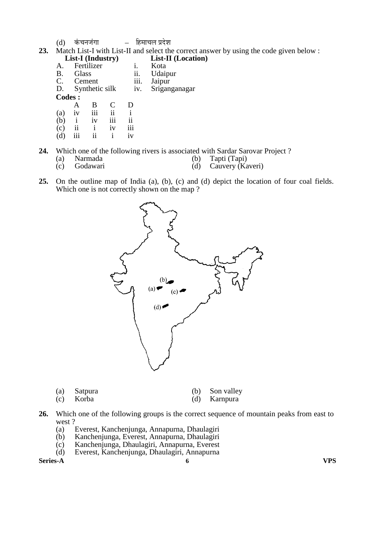- (d) कंचनजंगा – हिमाचल प्रदेश
- **23.** Match List-I with List-II and select the correct answer by using the code given below :<br>List-II (Industry) List-II (Location) **List-II (Location)**<br>**i.** Kota
- A. Fertilizer i.<br>B. Glass ii. B. Glass ii. Udaipur<br>C. Cement iii. Jaipur C. Cement iii.<br>D. Synthetic silk iv. iv. Sriganganagar **Codes :**  A B C D (a) iv iii ii i (b) i iv iii ii (c) ii i iv iii
- $(d)$  iii ii i iv

**24.** Which one of the following rivers is associated with Sardar Sarovar Project ?<br>(a) Narmada (b) Tapper (b)

- 
- (a) Narmada (b) Tapti (Tapi)<br>
(c) Godawari (d) Cauvery (Ka Cauvery (Kaveri)
- **25.** On the outline map of India (a), (b), (c) and (d) depict the location of four coal fields. Which one is not correctly shown on the map ?



| (a) Satpura | (b) Son valley |
|-------------|----------------|
| (c) Korba   | (d) Karnpura   |

- **26.** Which one of the following groups is the correct sequence of mountain peaks from east to west?
	- (a) Everest, Kanchenjunga, Annapurna, Dhaulagiri
	- (b) Kanchenjunga, Everest, Annapurna, Dhaulagiri
	- (c) Kanchenjunga, Dhaulagiri, Annapurna, Everest
	- (d) Everest, Kanchenjunga, Dhaulagiri, Annapurna

**Series-A 6 VPS**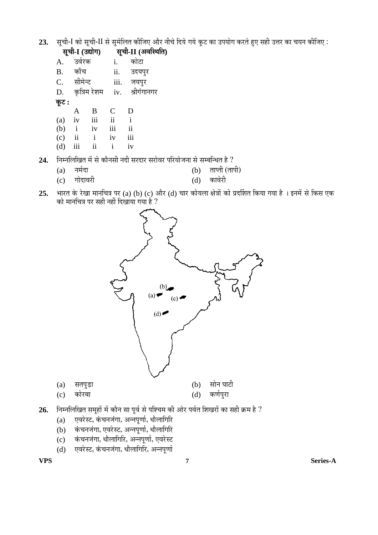23. सूची-I को सूची-II से सुमेलित कीजिए और नीचे दिये गये कूट का उपयोग करते हुए सही उत्तर का चयन कीजिए :

| सूची-I (उद्योग) |     |                           | सूची-II (अवस्थिति) |                                        |  |
|-----------------|-----|---------------------------|--------------------|----------------------------------------|--|
|                 |     | i.                        |                    |                                        |  |
|                 |     | ii.                       |                    |                                        |  |
|                 |     |                           |                    |                                        |  |
|                 |     |                           |                    | श्रीगंगानगर                            |  |
| कूट :           |     |                           |                    |                                        |  |
| A               | B   | C                         | D                  |                                        |  |
| iv              | iii | ii                        | i                  |                                        |  |
| $\mathbf{i}$    | iv  | iii                       | ii                 |                                        |  |
| ii              | i   | iv                        | iii                |                                        |  |
|                 | ii  | i                         | iv                 |                                        |  |
|                 |     | उर्वरक<br>काँच<br>सीमेन्ट | कृत्रिम रेशम       | कोटा<br>उदयपुर<br>जयपुर<br>iii.<br>iv. |  |

24. Fiम्नलिखित में से कौनसी नदी सरदार सरोवर परियोजना से सम्बन्धित है ?

- (a) नर्मदा (b) ताप्ती (तापी)<br>(c) गोदावरी (d) कावेरी
- $25.$  भारत के रेखा मानचित्र पर (a) (b) (c) और (d) चार कोयला क्षेत्रों को प्रदर्शित किया गया है । इनमें से किस एक



- 
- (c) कोरबा (d) कर्णपुरा
- $26.$  निम्नलिखित समूहों में कौन सा पूर्व से पश्चिम की ओर पर्वत शिखरों का सही क्रम है ?
	- $(a)$  एवरेस्ट, कंचनजंगा, अन्नपूर्णा, धौलागिरि
	- $\mathrm{(b)}$  कंचनजंगा, एवरेस्ट, अन्नपूर्णा, धौलागिरि
	- $\tilde{f}(\vec{c})$  कंचनजंगा, धौलागिरि, अन्नपूर्णा, एवरेस्ट
	- (d) एवरेस्ट, कंचनजंगा, धौलागिरि, अन्नपूर्णा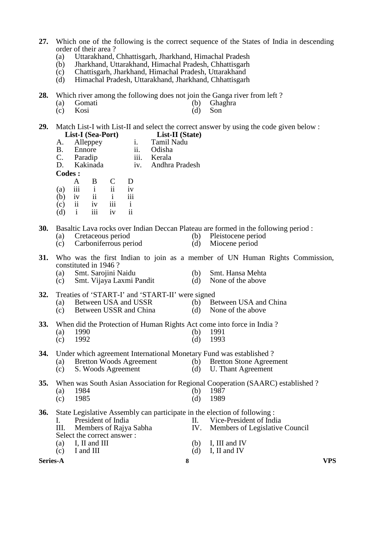- **27.** Which one of the following is the correct sequence of the States of India in descending order of their area ?
	- (a) Uttarakhand, Chhattisgarh, Jharkhand, Himachal Pradesh
	- (b) Jharkhand, Uttarakhand, Himachal Pradesh, Chhattisgarh
	- (c) Chattisgarh, Jharkhand, Himachal Pradesh, Uttarakhand
	- Himachal Pradesh, Uttarakhand, Jharkhand, Chhattisgarh
- **28.** Which river among the following does not join the Ganga river from left ?
	- (a) Gomati (b) Ghaghra<br>
	(c) Kosi (d) Son
- (c) Kosi (d) Son
- **29.** Match List-I with List-II and select the correct answer by using the code given below : **List-I (Sea-Port) List-II (State)**
	- A. Alleppey i. Tamil Nadu B. Ennore ii. Odisha B. Ennore ii. Odisha<br>C. Paradip iii. Kerala
	- C. Paradip<br>D. Kakinada
	- iv. Andhra Pradesh

**Codes :** 

- A B C D (a) iii i ii iv
- (b) iv ii i iii
	-
- $\begin{matrix} (c) & \text{ii} & \text{iv} & \text{iii} & \text{i} \\ (d) & \text{i} & \text{iii} & \text{iv} & \text{ii} \end{matrix}$ (d) i iii iv ii
- **30.** Basaltic Lava rocks over Indian Deccan Plateau are formed in the following period :<br>(a) Cretaceous period (b) Pleistocene period
	-
- 
- (a) Cretaceous period (b) Pleistocene period (c) Carboniferrous period (d) Miocene period Carboniferrous period (d) Miocene period
- **31.** Who was the first Indian to join as a member of UN Human Rights Commission, constituted in 1946 ?
	- (a) Smt. Sarojini Naidu (b) Smt. Hansa Mehta
		-
	- (c) Smt. Vijaya Laxmi Pandit (d) None of the above
- **32.** Treaties of 'START-I' and 'START-II' were signed<br>(a) Between USA and USSR (b) Between USA and China
	-
	- (a) Between USA and USSR (b) Between USA and (c) Between USA and China (d) None of the above (c) Between USSR and China  $(d)$ 
		-
		-
- **33.** When did the Protection of Human Rights Act come into force in India ?<br>(a) 1990 (b) 1991
- (a) 1990 (b) 1991
- (c) 1992 (d) 1993
- **34.** Under which agreement International Monetary Fund was established ?
	- (a) Bretton Woods Agreement (b) Bretton Stone Agreement
	- (c) S. Woods Agreement (d) U. Thant Agreement

**35.** When was South Asian Association for Regional Cooperation (SAARC) established ? (a) 1984 (b) 1987

(c) 1985 (d) 1989

**36.** State Legislative Assembly can participate in the election of following :<br>I. President of India II. Vice-President of Ind I. President of India<br>III. Members of Raiva Sabha<br>IV. Members of Legislative Members of Raiya Sabha IV. Members of Legislative Council Select the correct answer :<br>(a)  $\blacksquare$  I II and III (a) I, II and III (b) I, III and IV (c) I and III (d) I. II and IV

- 
- $\overrightarrow{c}$  I and III (d) I, II and IV

**Series-A 8 VPS**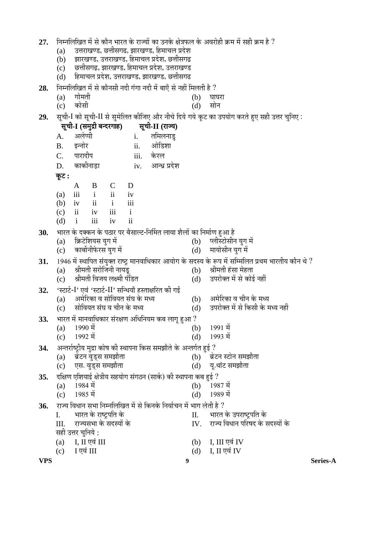- $27.$   $\,$  निम्नलिखित में से कौन भारत के राज्यों का उनके क्षेत्रफल के अवरोही क्रम में सही क्रम है  $?$ 
	- (a) ⊂उत्तराखण्ड, छत्तीसगढ, झारखण्ड, हिमाचल प्रदेश
	- $(b)$  झारखण्ड, उत्तराखण्ड, हिमाचल प्रदेश, छत्तीसगढ़
	- (c) एठतीसगढ़, झारखण्ड, हिमाचल प्रदेश, उत्तराखण्ड
	- $(d)$  हिमाचल प्रदेश, उत्तराखण्ड, झारखण्ड, छत्तीसगढ
- **28.** निम्नलिखित में से कौनसी नदी गंगा नदी में बाएँ से नहीं मिलती है ?<br>(b) घा
- (a) ÝÖÖê´ÖŸÖß (b) 'ÖÖ'Ö¸üÖ
- $(c)$  कोसी  $(d)$  सोन
- 29. सची-I को सची-II से समेलित कीजिए और नीचे दिये गये कट का उपयोग करते हुए सही उत्तर चनिए:
- **VPS 9 Series-A**  $\overline{\mathbf{R}}$ ची-I (समुद्री बन्दरगाह) सूची-II (राज्य) A. अलेप्पी i. तमिलनाड B. इन्नोर ii. ओडिशा C. पारादीप iii. केरल D. ÛúÖÛúß®ÖÖ›ÌüÖ iv. †Ö®¬ÖÐ ¯ÖϤêü¿Ö <u>क</u>ट : A B C D (a) iii i ii iv (b) iv ii i iii (c) ii iv iii i (d) i iii iv ii **30.** ³ÖÖ¸üŸÖ Ûêú ¤üŒÛú®Ö Ûêú ¯ÖšüÖ¸ü ¯Ö¸ü ²ÖîÃÖÖ»™ü-×®ÖÙ´ÖŸÖ »ÖÖ¾ÖÖ ¿Öî»ÖÖë ÛúÖ ×®Ö´ÖÖÔÞÖ Æãü†Ö Æîü (a) क्रिटेशियस युग में (b) प्लीस्टोसीन युग में (<br>(c) कार्बोनीफेरस युग में (d) मायोसीन युग में  $(c)$  कार्बोनीफेरस युग में  $(d)$ **31.** 1946 में स्थापित संयुक्त राष्ट्र मानवाधिकार आयोग के सदस्य के रूप में सम्मिलित प्रथम भारतीय कौन थे ?<br>(a) श्रीमती सरोजिनी नायड (a) श्रीमती सरोजिनी नायड $\qquad \qquad (b)$ (c) श्रीमती विजय लक्ष्मी पंडित (d) उपरोक्त में से कोई नहीं 32. 'स्टार्ट-I' एवं 'स्टार्ट-II' सन्धियाँ हस्ताक्षरित की गईं (a) †´Öê׸üÛúÖ ¾Ö ÃÖÖê×¾ÖµÖŸÖ ÃÖÓ'Ö Ûêú ´Ö¬µÖ (b) †´Öê׸üÛúÖ ¾Ö "Öß®Ö Ûêú ´Ö¬µÖ (c) सोवियत संघ व चीन के मध्य (d) उपरोक्त में से किसी के मध्य नहीं **33.** ³ÖÖ¸üŸÖ ´Öë ´ÖÖ®Ö¾ÖÖ׬ÖÛúÖ¸ü ÃÖÓ¸üõÖÞÖ †×¬Ö×®ÖµÖ´Ö Ûú²Ö »ÖÖÝÖæ Æãü†Ö ? (a)  $1990 \text{ }\hat{\mathbf{T}}$  (b)  $1991 \text{ }\hat{\mathbf{T}}$ (c)  $1992 \text{ }\hat{\mathrm{H}}$  (d)  $1993 \text{ }\hat{\mathrm{H}}$ 34. अन्तर्राष्ट्रीय मुद्रा कोष की स्थापना किस समझौते के अन्तर्गत हुई ? (a) जेटन वुड्स समझौता (b) जेटन स्टोन समझौता (c) एस. वृड्स समझौता (d) यू.थांट समझौता 3**5.** दक्षिण एशियाई क्षेत्रीय सहयोग संगठन (सार्क) को स्थापना कब हुई ?<br>(a) 1984 में (a)  $1984 \text{ }\hat{\mathbf{T}}$  (b)  $1987 \text{ }\hat{\mathbf{T}}$ (c)  $1985 \text{ }\hat{\mathrm{H}}$  (d)  $1989 \text{ }\hat{\mathrm{H}}$ 3**6.** राज्य विधान सभा निम्नलिखित में से किनके निर्वाचन में भाग लेती है ?<br>I. भारत के राष्टपति के I. ³ÖÖ¸üŸÖ Ûêú ¸üÖ™Òü¯Ö×ŸÖ Ûêú II. ³ÖÖ¸üŸÖ Ûêú ˆ¯Ö¸üÖ™Òü¯Ö×ŸÖ Ûêú III. ¸üÖ•µÖÃÖ³ÖÖ Ûêú ÃÖ¤üõÖÖë Ûêú IV. ¸üÖ•µÖ ×¾Ö¬ÖÖ®Ö ¯Ö׸üÂÖ¤ü Ûêú ÃÖ¤üõÖÖë Ûêú सही उत्तर चुनिये :  $(a)$  I, II एवं III  $(b)$  I, III एवं IV  $(c)$  I एवं III  $(d)$  I, II एवं IV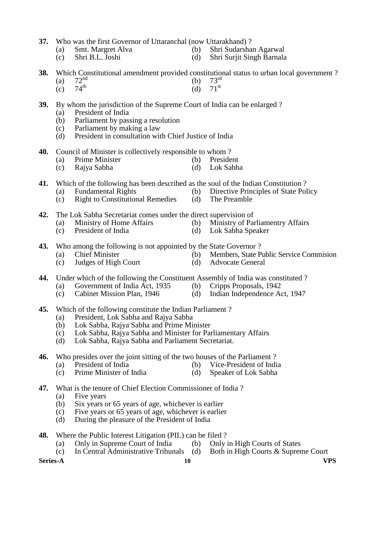**37.** Who was the first Governor of Uttaranchal (now Uttarakhand) ?<br>(a) Smt. Margret Alva (b) Shri Sudarsha

- (a) Smt. Margret Alva (b) Shri Sudarshan Agarwal (c) Shri B.L. Joshi (d) Shri Suriit Singh Barnala
	- (c) Shri B.L. Joshi (d) Shri Surjit Singh Barnala
- -
- **38.** Which Constitutional amendment provided constitutional status to urban local government ?<br>(a)  $72^{nd}$
- (a)  $72^{nd}$  (b)  $73^{rd}$  $73^{\rm rd}$  $71$ <sup>st</sup>
- (c)  $74^{\text{th}}$  (d)  $71^{\text{st}}$
- **39.** By whom the jurisdiction of the Supreme Court of India can be enlarged ?
	- (a) President of India
	- (b) Parliament by passing a resolution
	- (c) Parliament by making a law
	- (d) President in consultation with Chief Justice of India
- **40.** Council of Minister is collectively responsible to whom ?
	- (a) Prime Minister (b) President (c) Raiva Sabha (d) Lok Sabha
	- (c) Rajya Sabha (d)
- **41.** Which of the following has been described as the soul of the Indian Constitution ?<br>(a) Fundamental Rights (b) Directive Principles of State Pol
	-
	- (a) Fundamental Rights (b) Directive Principles of State Policy<br>
	(c) Right to Constitutional Remedies (d) The Preamble  $(c)$  Right to Constitutional Remedies
- **42.** The Lok Sabha Secretariat comes under the direct supervision of
	- (a) Ministry of Home Affairs (b) Ministry of Parliamentry Affairs (c) President of India (d) Lok Sabha Speaker
	- (c) President of India (d) Lok Sabha Speaker
- **43.** Who among the following is not appointed by the State Governor ?
	- (a) Chief Minister (b) Members, State Public Service Commision
	- (c) Judges of High Court (d) Advocate General
- **44.** Under which of the following the Constituent Assembly of India was constituted ?<br>(a) Government of India Act, 1935 (b) Cripps Proposals, 1942
	- (a) Government of India Act, 1935 (b)
	- (c) Cabinet Mission Plan, 1946 (d) Indian Independence Act, 1947
- **45.** Which of the following constitute the Indian Parliament ?
	- (a) President, Lok Sabha and Rajya Sabha
	- (b) Lok Sabha, Rajya Sabha and Prime Minister
	- (c) Lok Sabha, Rajya Sabha and Minister for Parliamentary Affairs
	- (d) Lok Sabha, Rajya Sabha and Parliament Secretariat.
- **46.** Who presides over the joint sitting of the two houses of the Parliament ?<br>(a) President of India (b) Vice-President of Indi
	- (a) President of India (b) Vice-President of India<br>
	(c) Prime Minister of India (d) Speaker of Lok Sabha
	- $(c)$  Prime Minister of India
- **47.** What is the tenure of Chief Election Commissioner of India ?
	- (a) Five years<br>(b) Six years
	- Six years or 65 years of age, whichever is earlier
	- (c) Five years or 65 years of age, whichever is earlier
	- (d) During the pleasure of the President of India
- **48.** Where the Public Interest Litigation (PIL) can be filed ?
	- (a) Only in Supreme Court of India (b) Only in High Courts of States<br>
	(c) In Central Administrative Tribunals (d) Both in High Courts & Suprem
	- (c) In Central Administrative Tribunals (d) Both in High Courts & Supreme Court

**Series-A 10 VPS**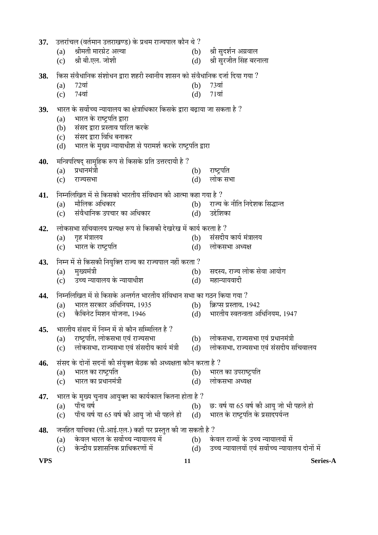| 37. | उत्तरांचल (वर्तमान उत्तराखण्ड) के प्रथम राज्यपाल कौन थे ?                          |            |                                                                          |
|-----|------------------------------------------------------------------------------------|------------|--------------------------------------------------------------------------|
|     | श्रीमती मारग्रेट अल्वा<br>(a)                                                      | (b)        | श्री सुदर्शन अग्रवाल                                                     |
|     | श्री बी.एल. जोशी<br>(c)                                                            | (d)        | श्री सुरजीत सिंह बरनाला                                                  |
| 38. | किस संवैधानिक संशोधन द्वारा शहरी स्थानीय शासन को संवैधानिक दर्जा दिया गया ?        |            |                                                                          |
|     | 72वां<br>(a)                                                                       | (b)        | 73वां                                                                    |
|     | 74वां<br>(c)                                                                       | (d)        | $71$ वां                                                                 |
| 39. | भारत के सर्वोच्च न्यायालय का क्षेत्राधिकार किसके द्वारा बढ़ाया जा सकता है ?        |            |                                                                          |
|     | भारत के राष्ट्रपति द्वारा<br>(a)                                                   |            |                                                                          |
|     | संसद द्वारा प्रस्ताव पारित करके<br>(b)                                             |            |                                                                          |
|     | संसद द्वारा विधि बनाकर<br>(c)                                                      |            |                                                                          |
|     | भारत के मुख्य न्यायाधीश से परामर्श करके राष्ट्रपति द्वारा<br>(d)                   |            |                                                                          |
| 40. | मन्त्रिपरिषद् सामूहिक रूप से किसके प्रति उत्तरदायी है ?                            |            |                                                                          |
|     | प्रधानमंत्री<br>(a)                                                                | (b)        | राष्ट्रपति                                                               |
|     | (c)<br>राज्यसभा                                                                    | (d)        | लोक सभा                                                                  |
|     |                                                                                    |            |                                                                          |
| 41. | निम्नलिखित में से किसको भारतीय संविधान की आत्मा कहा गया है ?<br>मौलिक अधिकार       |            |                                                                          |
|     | (a)<br>संवैधानिक उपचार का अधिकार<br>(c)                                            | (b)<br>(d) | राज्य के नीति निदेशक सिद्धान्त<br>उद्देशिका                              |
|     |                                                                                    |            |                                                                          |
| 42. | लोकसभा सचिवालय प्रत्यक्ष रूप से किसकी देखरेख में कार्य करता है ?                   |            |                                                                          |
|     | गृह मंत्रालय<br>(a)                                                                | (b)        | संसदीय कार्य मंत्रालय                                                    |
|     | (c) भारत के राष्ट्रपति                                                             | (d)        | लोकसभा अध्यक्ष                                                           |
| 43. | निम्न में से किसकी नियुक्ति राज्य का राज्यपाल नहीं करता ?                          |            |                                                                          |
|     | मुख्यमंत्री<br>(a)                                                                 | (b)        | सदस्य, राज्य लोक सेवा आयोग                                               |
|     | उच्च न्यायालय के न्यायाधीश<br>(c)                                                  | (d)        | महान्यायवादी                                                             |
| 44. | निम्नलिखित में से किसके अन्तर्गत भारतीय संविधान सभा का गठन किया गया ?              |            |                                                                          |
|     | भारत सरकार अधिनियम, 1935<br>(a)                                                    | (b)        | क्रिप्स प्रस्ताव, 1942                                                   |
|     | कैबिनेट मिशन योजना, 1946<br>(c)                                                    | (d)        | भारतीय स्वतन्त्रता अधिनियम, 1947                                         |
|     |                                                                                    |            |                                                                          |
| 45. | भारतीय संसद में निम्न में से कौन सम्मिलित है ?                                     |            |                                                                          |
|     | राष्ट्रपति, लोकसभा एवं राज्यसभा<br>(a)<br>लोकसभा, राज्यसभा एवं संसदीय कार्य मंत्री | (b)        | लोकसभा, राज्यसभा एवं प्रधानमंत्री<br>लोकसभा, राज्यसभा एवं संसदीय सचिवालय |
|     | (c)                                                                                | (d)        |                                                                          |
| 46. | संसद के दोनों सदनों की संयुक्त बैठक की अध्यक्षता कौन करता है ?                     |            |                                                                          |
|     | भारत का राष्ट्रपति<br>(a)                                                          | (b)        | भारत का उपराष्ट्रपति                                                     |
|     | भारत का प्रधानमंत्री<br>(c)                                                        | (d)        | लोकसभा अध्यक्ष                                                           |
| 47. | भारत के मुख्य चुनाव आयुक्त का कार्यकाल कितना होता है ?                             |            |                                                                          |
|     | पाँच वर्ष<br>(a)                                                                   | (b)        | छ: वर्ष या 65 वर्ष की आयु जो भी पहले हो                                  |
|     | पाँच वर्ष या 65 वर्ष की आयु जो भी पहले हो<br>(c)                                   | (d)        | भारत के राष्ट्रपति के प्रसादपर्यन्त                                      |
| 48. | जनहित याचिका (पी.आई.एल.) कहाँ पर प्रस्तुत की जा सकती है ?                          |            |                                                                          |
|     | केवल भारत के सर्वोच्च न्यायालय में<br>(a)                                          | (b)        | केवल राज्यों के उच्च न्यायालयों में                                      |
|     | केन्द्रीय प्रशासनिक प्राधिकरणों में<br>(c)                                         | (d)        | उच्च न्यायालयों एवं सर्वोच्च न्यायालय दोनों में                          |
|     |                                                                                    |            |                                                                          |

**VPS 11 Series-A**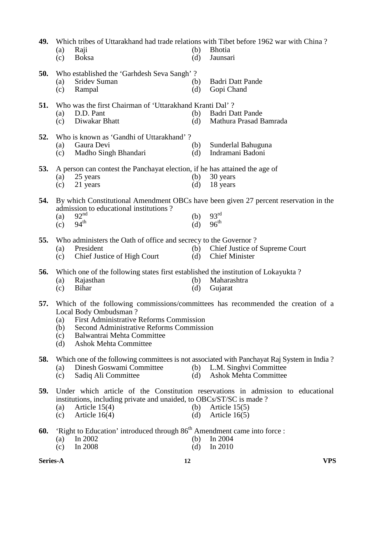| 49.      | (a)<br>(c)               | Raji<br><b>Boksa</b>                                                                                                                                                       | (b)<br>(d) | Which tribes of Uttarakhand had trade relations with Tibet before 1962 war with China?<br><b>Bhotia</b><br>Jaunsari                                   |
|----------|--------------------------|----------------------------------------------------------------------------------------------------------------------------------------------------------------------------|------------|-------------------------------------------------------------------------------------------------------------------------------------------------------|
| 50.      | (a)<br>(c)               | Who established the 'Garhdesh Seva Sangh'?<br>Sridev Suman<br>Rampal                                                                                                       | (b)<br>(d) | <b>Badri Datt Pande</b><br>Gopi Chand                                                                                                                 |
| 51.      | (a)<br>(c)               | Who was the first Chairman of 'Uttarakhand Kranti Dal'?<br>D.D. Pant<br>Diwakar Bhatt                                                                                      | (b)<br>(d) | <b>Badri Datt Pande</b><br>Mathura Prasad Bamrada                                                                                                     |
| 52.      | (a)<br>(c)               | Who is known as 'Gandhi of Uttarakhand'?<br>Gaura Devi<br>Madho Singh Bhandari                                                                                             | (b)<br>(d) | Sunderlal Bahuguna<br>Indramani Badoni                                                                                                                |
| 53.      | (a)<br>(c)               | A person can contest the Panchayat election, if he has attained the age of<br>25 years<br>21 years                                                                         | (b)<br>(d) | 30 years<br>18 years                                                                                                                                  |
| 54.      | (a)<br>(c)               | admission to educational institutions?<br>92 <sup>nd</sup><br>94 <sup>th</sup>                                                                                             | (b)<br>(d) | By which Constitutional Amendment OBCs have been given 27 percent reservation in the<br>93 <sup>rd</sup><br>$96^{\text{th}}$                          |
| 55.      | (a)<br>(c)               | Who administers the Oath of office and secrecy to the Governor?<br>President<br>Chief Justice of High Court                                                                | (b)<br>(d) | Chief Justice of Supreme Court<br><b>Chief Minister</b>                                                                                               |
| 56.      | (a)<br>(c)               | Which one of the following states first established the institution of Lokayukta?<br>Rajasthan<br><b>Bihar</b>                                                             | (b)<br>(d) | Maharashtra<br>Gujarat                                                                                                                                |
| 57.      | (a)<br>(b)<br>(c)<br>(d) | Local Body Ombudsman?<br>First Administrative Reforms Commission<br>Second Administrative Reforms Commission<br>Balwantrai Mehta Committee<br><b>Ashok Mehta Committee</b> |            | Which of the following commissions/committees has recommended the creation of a                                                                       |
| 58.      | (a)<br>(c)               | Dinesh Goswami Committee<br>Sadiq Ali Committee                                                                                                                            | (b)<br>(d) | Which one of the following committees is not associated with Panchayat Raj System in India?<br>L.M. Singhvi Committee<br><b>Ashok Mehta Committee</b> |
| 59.      | (a)<br>(c)               | institutions, including private and unaided, to OBCs/ST/SC is made?<br>Article $15(4)$<br>Article $16(4)$                                                                  | (b)<br>(d) | Under which article of the Constitution reservations in admission to educational<br>Article $15(5)$<br>Article $16(5)$                                |
| 60.      | (a)<br>(c)               | 'Right to Education' introduced through 86 <sup>th</sup> Amendment came into force :<br>In 2002<br>In 2008                                                                 | (b)<br>(d) | In 2004<br>In 2010                                                                                                                                    |
| Series-A |                          | 12                                                                                                                                                                         |            | <b>VPS</b>                                                                                                                                            |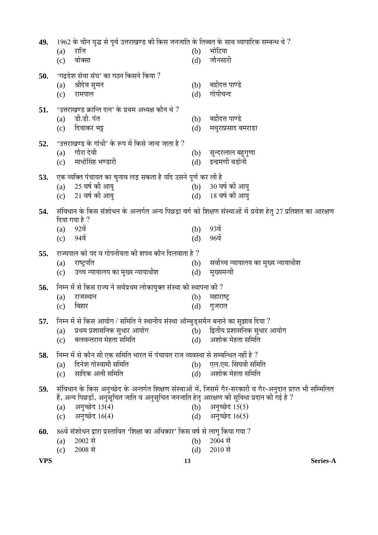| 49. |            | 1962 के चीन युद्ध से पूर्व उत्तराखण्ड की किस जनजाति के तिब्बत के साथ व्यापारिक सम्बन्ध थे ? |            |                                                                                                             |
|-----|------------|---------------------------------------------------------------------------------------------|------------|-------------------------------------------------------------------------------------------------------------|
|     | (a)        | राजि                                                                                        | (b)        | भोटिया                                                                                                      |
|     | (c)        | बोक्सा                                                                                      | (d)        | जौनसारी                                                                                                     |
| 50. |            | 'गढ़देश सेवा संघ' का गठन किसने किया ?                                                       |            |                                                                                                             |
|     | (a)        | श्रीदेव सुमन                                                                                | (b)        | बद्रीदत्त पाण्डे                                                                                            |
|     | (c)        | रामपाल                                                                                      | (d)        | गोपीचन्द                                                                                                    |
|     |            |                                                                                             |            |                                                                                                             |
| 51. |            | 'उत्तराखण्ड क्रान्ति दल' के प्रथम अध्यक्ष कौन थे ?                                          |            |                                                                                                             |
|     | (a)        | डी.डी. पंत                                                                                  | (b)        | बद्रीदत्त पाण्डे                                                                                            |
|     | (c)        | दिवाकर भट्ट                                                                                 | (d)        | मथुराप्रसाद बमराडा                                                                                          |
| 52. |            | 'उत्तराखण्ड के गांधी' के रूप में किसे जाना जाता है ?                                        |            |                                                                                                             |
|     | (a)        | गौरा देवी                                                                                   | (b)        | सुन्दरलाल बहुगुणा                                                                                           |
|     | (c)        | माधोसिंह भण्डारी                                                                            | (d)        | इन्द्रमणी बडोनी                                                                                             |
| 53. |            | एक व्यक्ति पंचायत का चुनाव लड़ सकता है यदि उसने पूर्ण कर ली है                              |            |                                                                                                             |
|     | (a)        | 25 वर्ष की आयु                                                                              | (b)        | 30 वर्ष की आयु                                                                                              |
|     | (c)        | 21 वर्ष की आयु                                                                              |            | (d) 18 वर्ष की आयु                                                                                          |
|     |            |                                                                                             |            |                                                                                                             |
| 54. |            | दिया गया है ?                                                                               |            | संविधान के किस संशोधन के अन्तर्गत अन्य पिछड़ा वर्ग को शिक्षण संस्थाओं में प्रवेश हेतु 27 प्रतिशत का आरक्षण  |
|     | (a)        | $92\ddot{q}$                                                                                | (b)        | 93वें                                                                                                       |
|     | (c)        | 94वें                                                                                       | (d)        | 96वें                                                                                                       |
|     |            |                                                                                             |            |                                                                                                             |
| 55. |            | राज्यपाल को पद व गोपनीयता की शपथ कौन दिलवाता है ?                                           |            |                                                                                                             |
|     | (a)<br>(c) | राष्ट्रपति<br>उच्च न्यायालय का मुख्य न्यायाधीश                                              | (b)<br>(d) | सर्वोच्च न्यायालय का मुख्य न्यायाधीश<br>मुख्यमन्त्री                                                        |
|     |            |                                                                                             |            |                                                                                                             |
| 56. |            | निम्न में से किस राज्य ने सर्वप्रथम लोकायुक्त संस्था की स्थापना की ?                        |            |                                                                                                             |
|     | (a)        | राजस्थान                                                                                    | (b)        | महाराष्ट्र                                                                                                  |
|     | (c)        | बिहार                                                                                       | (d)        | गुजरात                                                                                                      |
| 57. |            | निम्न में से किस आयोग / समिति ने स्थानीय संस्था ऑम्बुड्समैन बनाने का सुझाव दिया ?           |            |                                                                                                             |
|     | (a)        | प्रथम प्रशासनिक सुधार आयोग                                                                  | (b)        | द्वितीय प्रशासनिक सुधार आयोग                                                                                |
|     | (c)        | बलवन्तराय मेहता समिति                                                                       | (d)        | अशोक मेहता समिति                                                                                            |
| 58. |            | निम्न में से कौन सी एक समिति भारत में पंचायत राज व्यवस्था से सम्बन्धित नहीं है ?            |            |                                                                                                             |
|     | (a)        | दिनेश गोस्वामी समिति                                                                        | (b)        | एल.एम. सिंघवी समिति                                                                                         |
|     | (c)        | सादिक अली समिति                                                                             | (d)        | अशोक मेहता समिति                                                                                            |
|     |            |                                                                                             |            |                                                                                                             |
| 59. |            | हैं, अन्य पिछड़ों, अनुसूचित जाति व अनुसूचित जनजाति हेतु आरक्षण की सुविधा प्रदान की गई है ?  |            | संविधान के किस अनुच्छेद के अन्तर्गत शिक्षण संस्थाओं में, जिसमें गैर-सरकारी व गैर-अनुदान प्राप्त भी सम्मिलित |
|     | (a)        | अनुच्छेद 15(4)                                                                              | (b)        | अनुच्छेद 15(5)                                                                                              |
|     | (c)        | अनुच्छेद 16(4)                                                                              | (d)        | अनुच्छेद 16(5)                                                                                              |
|     |            |                                                                                             |            |                                                                                                             |
| 60. |            | 86वें संशोधन द्वारा प्रस्तावित 'शिक्षा का अधिकार' किस वर्ष से लागू किया गया ?               |            |                                                                                                             |
|     | (a)        | 2002 से                                                                                     | (b)        | $2004$ से                                                                                                   |
|     | (c)        | 2008 से                                                                                     | (d)        | 2010 से                                                                                                     |

**VPS 13 Series-A**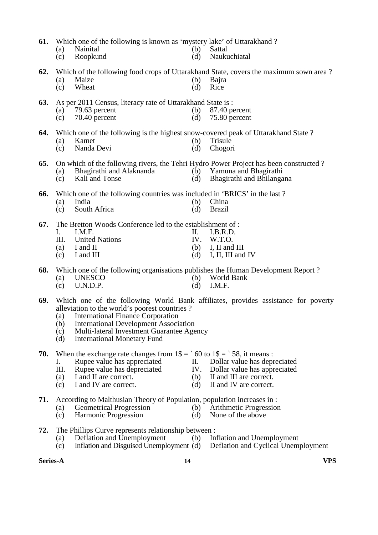| 61. | (a)<br>(c)               | Which one of the following is known as 'mystery lake' of Uttarakhand ?<br>Nainital<br>Roopkund                                                                                                                                  | (b)<br>(d)              | Sattal<br>Naukuchiatal                                                                                                                      |
|-----|--------------------------|---------------------------------------------------------------------------------------------------------------------------------------------------------------------------------------------------------------------------------|-------------------------|---------------------------------------------------------------------------------------------------------------------------------------------|
| 62. | (a)<br>(c)               | Maize<br>Wheat                                                                                                                                                                                                                  | (b)<br>(d)              | Which of the following food crops of Uttarakhand State, covers the maximum sown area?<br>Bajra<br>Rice                                      |
| 63. | (a)<br>(c)               | As per 2011 Census, literacy rate of Uttarakhand State is:<br>79.63 percent<br>70.40 percent                                                                                                                                    | (b)<br>(d)              | 87.40 percent<br>75.80 percent                                                                                                              |
| 64. | (a)<br>(c)               | Which one of the following is the highest snow-covered peak of Uttarakhand State?<br>Kamet<br>Nanda Devi                                                                                                                        | (b)<br>(d)              | Trisule<br>Chogori                                                                                                                          |
| 65. | (a)<br>(c)               | Bhagirathi and Alaknanda<br>Kali and Tonse                                                                                                                                                                                      | (b)<br>(d)              | On which of the following rivers, the Tehri Hydro Power Project has been constructed?<br>Yamuna and Bhagirathi<br>Bhagirathi and Bhilangana |
| 66. | (a)<br>(c)               | Which one of the following countries was included in 'BRICS' in the last?<br>India<br>South Africa                                                                                                                              | (b)<br>(d)              | China<br><b>Brazil</b>                                                                                                                      |
| 67. | I.<br>Ш.<br>(a)<br>(c)   | The Bretton Woods Conference led to the establishment of :<br>I.M.F.<br><b>United Nations</b><br>I and II<br>I and III                                                                                                          | П.<br>IV.<br>(b)<br>(d) | I.B.R.D.<br>W.T.O.<br>I, II and III<br>I, II, III and IV                                                                                    |
| 68. | (a)<br>(c)               | Which one of the following organisations publishes the Human Development Report?<br><b>UNESCO</b><br>U.N.D.P.                                                                                                                   | (b)<br>(d)              | World Bank<br>I.M.F.                                                                                                                        |
| 69. | (a)<br>(b)<br>(c)<br>(d) | alleviation to the world's poorest countries?<br><b>International Finance Corporation</b><br><b>International Development Association</b><br>Multi-lateral Investment Guarantee Agency<br><b>International Monetary Fund</b>    |                         | Which one of the following World Bank affiliates, provides assistance for poverty                                                           |
| 70. | I.<br>III.<br>(a)<br>(c) | When the exchange rate changes from $1\frac{1}{5} = \frac{1}{50}$ to $1\frac{1}{5} = \frac{1}{58}$ , it means :<br>Rupee value has appreciated<br>Rupee value has depreciated<br>I and II are correct.<br>I and IV are correct. | П.<br>IV.<br>(b)<br>(d) | Dollar value has depreciated<br>Dollar value has appreciated<br>II and III are correct.<br>II and IV are correct.                           |
| 71. | $\left( a\right)$<br>(c) | According to Malthusian Theory of Population, population increases in :<br><b>Geometrical Progression</b><br>Harmonic Progression                                                                                               | (b)<br>(d)              | Arithmetic Progression<br>None of the above                                                                                                 |
| 72. | (a)                      | The Phillips Curve represents relationship between :<br>Deflation and Unemployment                                                                                                                                              | (b)                     | Inflation and Unemployment                                                                                                                  |

(c) Inflation and Disguised Unemployment (d) Deflation and Cyclical Unemployment

**Series-A 14 VPS**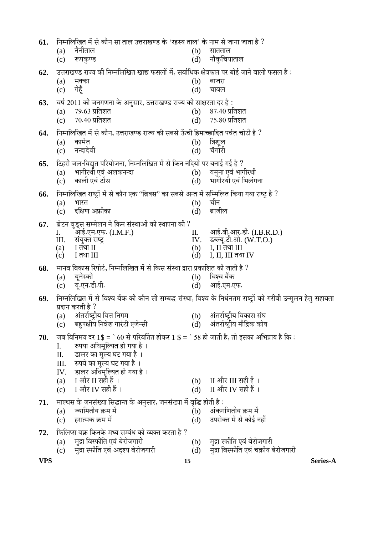| 61.        |            | निम्नलिखित में से कौन सा ताल उत्तराखण्ड के 'रहस्य ताल' के नाम से जाना जाता है ?                |            |                                                                                                                 |
|------------|------------|------------------------------------------------------------------------------------------------|------------|-----------------------------------------------------------------------------------------------------------------|
|            | (a)        | नैनीताल                                                                                        | (b)        | सातताल                                                                                                          |
|            | (c)        | रूपकुण्ड                                                                                       | (d)        | नौकुचियाताल                                                                                                     |
| 62.        |            | उत्तराखण्ड राज्य की निम्नलिखित खाद्य फसलों में, सर्वाधिक क्षेत्रफल पर बोई जाने वाली फसल है :   |            |                                                                                                                 |
|            | (a)        | मक्का                                                                                          | (b)        | बाजरा                                                                                                           |
|            | (c)        | गेहूँ                                                                                          | (d)        | चावल                                                                                                            |
| 63.        |            | वर्ष 2011 की जनगणना के अनुसार, उत्तराखण्ड राज्य की साक्षरता दर है:                             |            |                                                                                                                 |
|            | (a)        | 79.63 प्रतिशत                                                                                  | (b)        | $87.40$ प्रतिशत                                                                                                 |
|            | (c)        | $70.40$ प्रतिशत                                                                                | (d)        | 75.80 प्रतिशत                                                                                                   |
| 64.        |            | निम्नलिखित में से कौन, उत्तराखण्ड राज्य की सबसे ऊँची हिमाच्छादित पर्वत चोटी है ?               |            |                                                                                                                 |
|            | (a)        | कामेत                                                                                          | (b)        | त्रिशूल                                                                                                         |
|            | (c)        | नन्दादेवी                                                                                      | (d)        | चॅगोरी                                                                                                          |
| 65.        |            | टिहरी जल-विद्युत परियोजना, निम्नलिखित में से किन नदियों पर बनाई गई है ?                        |            |                                                                                                                 |
|            | (a)        | भागीरथी एवं अलकनन्दा                                                                           | (b)        | यमृना एवं भागीरथी                                                                                               |
|            | (c)        | काली एवं टोंस                                                                                  | (d)        | भागीरथी एवं भिलंगना                                                                                             |
| 66.        |            | निम्नलिखित राष्ट्रों में से कौन एक ''ब्रिक्स'' का सबसे अन्त में सम्मिलित किया गया राष्ट्र है ? |            |                                                                                                                 |
|            | (a)        | भारत                                                                                           | (b)        | चीन                                                                                                             |
|            | (c)        | दक्षिण अफ्रीका                                                                                 | (d)        | ब्राजील                                                                                                         |
| 67.        |            | ब्रेटन वुड्स सम्मेलन ने किन संस्थाओं की स्थापना की ?                                           |            |                                                                                                                 |
|            | I.         | आई.एम.एफ. (I.M.F.)                                                                             | П.         | आई.बी.आर.डी. (I.B.R.D.)                                                                                         |
|            | III.       | संयुक्त राष्ट्र                                                                                | IV.        | डब्ल्यू.टी.ओ. (W.T.O.)                                                                                          |
|            | (a)<br>(c) | $I$ तथा $II$<br>I तथा III                                                                      | (b)<br>(d) | $I, II$ तथा $III$<br>I, II, III तथा IV                                                                          |
|            |            |                                                                                                |            |                                                                                                                 |
| 68.        |            | मानव विकास रिपोर्ट, निम्नलिखित में से किस संस्था द्वारा प्रकाशित की जाती है ?<br>यूनेस्को      | (b)        | विश्व बैंक                                                                                                      |
|            | (a)<br>(c) | यू.एन.डी.पी.                                                                                   | (d)        | आई.एम.एफ.                                                                                                       |
|            |            |                                                                                                |            |                                                                                                                 |
| 69.        |            | प्रदान करती है ?                                                                               |            | निम्नलिखित में से विश्व बैंक की कौन सी सम्बद्ध संस्था, विश्व के निर्धनतम राष्ट्रों को गरीबी उन्मूलन हेतु सहायता |
|            | (a)        | अंतर्राष्ट्रीय वित्त निगम                                                                      | (b)        | अंतर्राष्ट्रीय विकास संघ                                                                                        |
|            | (c)        | बहुपक्षीय निवेश गारंटी एजेन्सी                                                                 | (d)        | अंतर्राष्ट्रीय मौद्रिक कोष                                                                                      |
| 70.        |            | जब विनिमय दर 1\$ = ` 60 से परिवर्तित होकर 1 \$ = ` 58 हो जाती है, तो इसका अभिप्राय है कि :     |            |                                                                                                                 |
|            | I.         | रुपया अधिमूल्यित हो गया है ।                                                                   |            |                                                                                                                 |
|            | II.        | डालर का मूल्य घट गया है ।                                                                      |            |                                                                                                                 |
|            | III.       | रुपये का मूल्य घट गया है।                                                                      |            |                                                                                                                 |
|            | IV.        | डालर अधिमूल्यित हो गया है।                                                                     |            |                                                                                                                 |
|            | (a)        | I और II सही हैं ।                                                                              | (b)        | II और III सही हैं ।                                                                                             |
|            | (c)        | I और IV सही हैं ।                                                                              | (d)        | $\rm{II}$ और IV सही हैं ।                                                                                       |
| 71.        |            | माल्थस के जनसंख्या सिद्धान्त के अनुसार, जनसंख्या में वृद्धि होती है :                          |            |                                                                                                                 |
|            | (a)        | ज्यामितीय क्रम में                                                                             | (b)        | अंकगणितीय क्रम में                                                                                              |
|            | (c)        | हरात्मक क्रम में                                                                               | (d)        | उपरोक्त में से कोई नहीं                                                                                         |
| 72.        |            | फिलिप्स वक्र किनके मध्य सम्बंध को व्यक्त करता है ?                                             |            |                                                                                                                 |
|            | (a)        | मुद्रा विस्फीति एवं बेरोजगारी                                                                  | (b)        | मुद्रा स्फीति एवं बेरोजगारी                                                                                     |
|            | (c)        | मुद्रा स्फीति एवं अदृश्य बेरोजगारी                                                             | (d)        | मुद्रा विस्फीति एवं चक्रीय बेरोजगारी                                                                            |
| <b>VPS</b> |            | 15                                                                                             |            | Series-A                                                                                                        |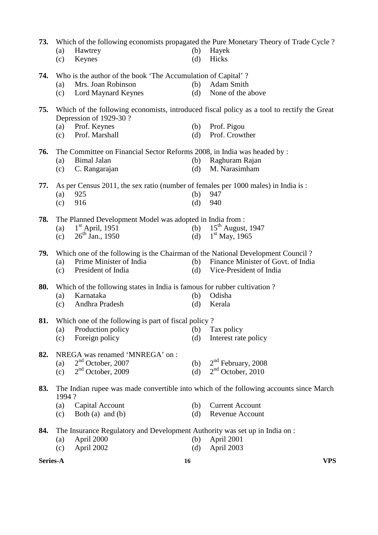| 73. |       |                                                                                   |     | Which of the following economists propagated the Pure Monetary Theory of Trade Cycle?      |
|-----|-------|-----------------------------------------------------------------------------------|-----|--------------------------------------------------------------------------------------------|
|     | (a)   | Hawtrey                                                                           | (b) | Hayek                                                                                      |
|     | (c)   | Keynes                                                                            | (d) | Hicks                                                                                      |
| 74. |       | Who is the author of the book 'The Accumulation of Capital'?                      |     |                                                                                            |
|     | (a)   | Mrs. Joan Robinson                                                                | (b) | Adam Smith                                                                                 |
|     | (c)   | Lord Maynard Keynes                                                               | (d) | None of the above                                                                          |
| 75. |       | Depression of 1929-30?                                                            |     | Which of the following economists, introduced fiscal policy as a tool to rectify the Great |
|     | (a)   | Prof. Keynes                                                                      | (b) | Prof. Pigou                                                                                |
|     | (c)   | Prof. Marshall                                                                    | (d) | Prof. Crowther                                                                             |
| 76. |       | The Committee on Financial Sector Reforms 2008, in India was headed by :          |     |                                                                                            |
|     | (a)   | <b>Bimal Jalan</b>                                                                | (b) | Raghuram Rajan                                                                             |
|     | (c)   | C. Rangarajan                                                                     | (d) | M. Narasimham                                                                              |
| 77. |       | As per Census 2011, the sex ratio (number of females per 1000 males) in India is: |     |                                                                                            |
|     | (a)   | 925                                                                               | (b) | 947                                                                                        |
|     | (c)   | 916                                                                               | (d) | 940                                                                                        |
| 78. |       | The Planned Development Model was adopted in India from :                         |     |                                                                                            |
|     | (a)   | $1st$ April, 1951                                                                 | (b) | $15th$ August, 1947                                                                        |
|     | (c)   | $26^{th}$ Jan., 1950                                                              | (d) | $1st$ May, 1965                                                                            |
| 79. |       | Which one of the following is the Chairman of the National Development Council?   |     |                                                                                            |
|     | (a)   | Prime Minister of India                                                           |     | (b) Finance Minister of Govt. of India                                                     |
|     | (c)   | President of India                                                                | (d) | Vice-President of India                                                                    |
| 80. |       | Which of the following states in India is famous for rubber cultivation?          |     |                                                                                            |
|     | (a)   | Karnataka                                                                         | (b) | Odisha                                                                                     |
|     | (c)   | Andhra Pradesh                                                                    | (d) | Kerala                                                                                     |
| 81. |       | Which one of the following is part of fiscal policy?                              |     |                                                                                            |
|     | (a)   | Production policy                                                                 | (b) | Tax policy                                                                                 |
|     | (c)   | Foreign policy                                                                    | (d) | Interest rate policy                                                                       |
| 82. |       | NREGA was renamed 'MNREGA' on:                                                    |     |                                                                                            |
|     | (a)   | $2nd$ October, 2007                                                               | (b) | $2nd$ February, 2008                                                                       |
|     | (c)   | $2nd$ October, 2009                                                               | (d) | $2nd$ October, 2010                                                                        |
| 83. | 1994? |                                                                                   |     | The Indian rupee was made convertible into which of the following accounts since March     |
|     | (a)   | Capital Account                                                                   | (b) | <b>Current Account</b>                                                                     |
|     | (c)   | Both (a) and (b)                                                                  | (d) | Revenue Account                                                                            |
| 84. |       | The Insurance Regulatory and Development Authority was set up in India on :       |     |                                                                                            |
|     | (a)   | April 2000                                                                        | (b) | April 2001                                                                                 |
|     | (c)   | April 2002                                                                        | (d) | April 2003                                                                                 |

**Series-A 16 VPS**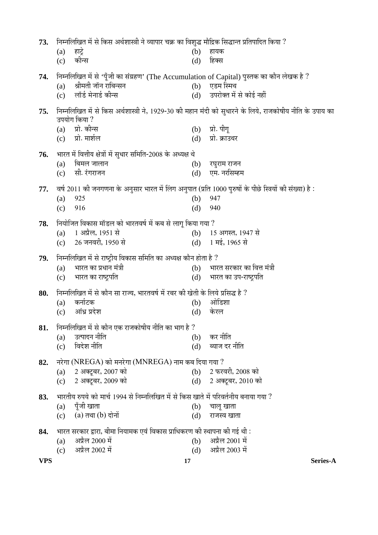| 73.        |     | निम्नलिखित में से किस अर्थशास्त्री ने व्यापार चक्र का विशुद्ध मौद्रिक सिद्धान्त प्रतिपादित किया ?        |     |                                                                                                          |
|------------|-----|----------------------------------------------------------------------------------------------------------|-----|----------------------------------------------------------------------------------------------------------|
|            | (a) | हाट्रे                                                                                                   | (b) | हायक                                                                                                     |
|            | (c) | कीन्स                                                                                                    | (d) | हिक्स                                                                                                    |
| 74.        |     | निम्नलिखित में से 'पूँजी का संग्रहण' (The Accumulation of Capital) पुस्तक का कौन लेखक है ?               |     |                                                                                                          |
|            | (a) | श्रीमती जॉन राबिन्सन                                                                                     | (b) | एडम स्मिथ                                                                                                |
|            | (c) | लॉर्ड मेनार्ड कीन्स                                                                                      | (d) | उपरोक्त में से कोई नहीं                                                                                  |
| 75.        |     |                                                                                                          |     | निम्नलिखित में से किस अर्थशास्त्री ने, 1929-30 की महान मंदी को सुधारने के लिये, राजकोषीय नीति के उपाय का |
|            |     | उपयोग किया ?                                                                                             |     |                                                                                                          |
|            | (a) | प्रो. कीन्स                                                                                              | (b) | प्रो. पीगू                                                                                               |
|            |     | (c) प्रो. मार्शल                                                                                         | (d) | प्रो. क्राउथर                                                                                            |
| 76.        |     | भारत में वित्तीय क्षेत्रों में सुधार समिति-2008 के अध्यक्ष थे                                            |     |                                                                                                          |
|            | (a) | बिमल जालान                                                                                               | (b) | रघुराम राजन                                                                                              |
|            | (c) | सी. रंगराजन                                                                                              | (d) | एम. नरसिम्हम                                                                                             |
| 77.        |     | : वर्ष 2011 की जनगणना के अनुसार भारत में लिंग अनुपात (प्रति 1000 पुरुषों के पीछे स्त्रियों की संख्या) है |     |                                                                                                          |
|            | (a) | 925                                                                                                      | (b) | 947                                                                                                      |
|            | (c) | 916                                                                                                      | (d) | 940                                                                                                      |
| 78.        |     | नियोजित विकास मॉडल को भारतवर्ष में कब से लागू किया गया ?                                                 |     |                                                                                                          |
|            | (a) | 1 अप्रैल, 1951 से                                                                                        |     | (b) 15 अगस्त, 1947 से                                                                                    |
|            | (c) | 26 जनवरी, 1950 से                                                                                        |     | (d) 1 मई, 1965 से                                                                                        |
| 79.        |     | निम्नलिखित में से राष्ट्रीय विकास समिति का अध्यक्ष कौन होता है ?                                         |     |                                                                                                          |
|            | (a) | भारत का प्रधान मंत्री                                                                                    | (b) | भारत सरकार का वित्त मंत्री                                                                               |
|            | (c) | भारत का राष्ट्रपति                                                                                       | (d) | भारत का उप-राष्ट्रपति                                                                                    |
| 80.        |     | निम्नलिखित में से कौन सा राज्य, भारतवर्ष में रबर की खेती के लिये प्रसिद्ध है ?                           |     |                                                                                                          |
|            | (a) | कर्नाटक                                                                                                  | (b) | ओडिशा                                                                                                    |
|            | (c) | आंध्र प्रदेश                                                                                             | (d) | केरल                                                                                                     |
|            |     |                                                                                                          |     |                                                                                                          |
| 81.        |     | निम्नलिखित में से कौन एक राजकोषीय नीति का भाग है ?                                                       |     |                                                                                                          |
|            | (a) | उत्पादन नीति                                                                                             | (b) | कर नीति                                                                                                  |
|            | (c) | विदेश नीति                                                                                               | (d) | ब्याज दर नीति                                                                                            |
| 82.        |     | नरेगा (NREGA) को मनरेगा (MNREGA) नाम कब दिया गया ?                                                       |     |                                                                                                          |
|            | (a) | 2 अक्टूबर, 2007 को                                                                                       |     | (b) 2 फरवरी, 2008 को                                                                                     |
|            |     | (c) 2 अक्टूबर, 2009 को                                                                                   |     | (d) 2 अक्टूबर, 2010 को                                                                                   |
| 83.        |     | भारतीय रुपये को मार्च 1994 से निम्नलिखित में से किस खाते में परिवर्तनीय बनाया गया ?                      |     |                                                                                                          |
|            | (a) | पूँजी खाता                                                                                               | (b) | चालू खाता                                                                                                |
|            | (c) | (a) तथा (b) दोनों                                                                                        | (d) | राजस्व खाता                                                                                              |
| 84.        |     | भारत सरकार द्वारा, बीमा नियामक एवं विकास प्राधिकरण की स्थापना की गई थी :                                 |     |                                                                                                          |
|            | (a) | अप्रैल 2000 में                                                                                          | (b) | अप्रैल 2001 में                                                                                          |
|            | (c) | अप्रैल 2002 में                                                                                          | (d) | अप्रैल 2003 में                                                                                          |
| <b>VPS</b> |     | 17                                                                                                       |     | Series-A                                                                                                 |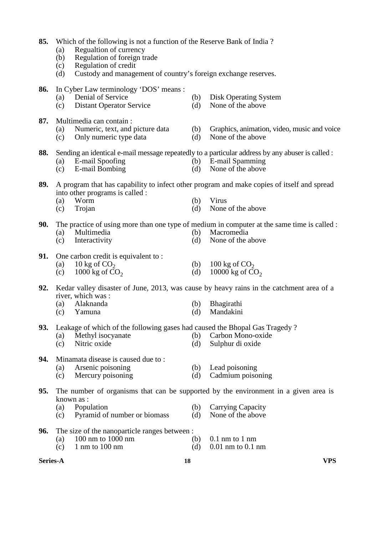| 85. | (a)<br>(b)<br>(c)<br>(d) | Which of the following is not a function of the Reserve Bank of India?<br>Regualtion of currency<br>Regulation of foreign trade<br>Regulation of credit<br>Custody and management of country's foreign exchange reserves. |            |                                                                                                                                          |
|-----|--------------------------|---------------------------------------------------------------------------------------------------------------------------------------------------------------------------------------------------------------------------|------------|------------------------------------------------------------------------------------------------------------------------------------------|
| 86. | (a)<br>(c)               | In Cyber Law terminology 'DOS' means :<br>Denial of Service<br><b>Distant Operator Service</b>                                                                                                                            | (b)<br>(d) | Disk Operating System<br>None of the above                                                                                               |
| 87. | (a)<br>(c)               | Multimedia can contain :<br>Numeric, text, and picture data<br>Only numeric type data                                                                                                                                     | (b)<br>(d) | Graphics, animation, video, music and voice<br>None of the above                                                                         |
| 88. | (a)<br>(c)               | E-mail Spoofing<br><b>E-mail Bombing</b>                                                                                                                                                                                  | (b)<br>(d) | Sending an identical e-mail message repeatedly to a particular address by any abuser is called :<br>E-mail Spamming<br>None of the above |
| 89. | (a)<br>(c)               | into other programs is called :<br>Worm<br>Trojan                                                                                                                                                                         | (b)<br>(d) | A program that has capability to infect other program and make copies of itself and spread<br>Virus<br>None of the above                 |
| 90. | (a)<br>(c)               | Multimedia<br>Interactivity                                                                                                                                                                                               | (b)<br>(d) | The practice of using more than one type of medium in computer at the same time is called :<br>Macromedia<br>None of the above           |
| 91. | (a)<br>(c)               | One carbon credit is equivalent to:<br>10 kg of $CO2$<br>1000 kg of $CO2$                                                                                                                                                 | (b)<br>(d) | 100 kg of $CO2$<br>10000 kg of $CO2$                                                                                                     |
| 92. | (a)<br>(c)               | river, which was:<br>Alaknanda<br>Yamuna                                                                                                                                                                                  | (b)<br>(d) | Kedar valley disaster of June, 2013, was cause by heavy rains in the catchment area of a<br>Bhagirathi<br>Mandakini                      |
| 93. | (a)<br>(c)               | Leakage of which of the following gases had caused the Bhopal Gas Tragedy?<br>Methyl isocyanate<br>Nitric oxide                                                                                                           | (b)<br>(d) | Carbon Mono-oxide<br>Sulphur di oxide                                                                                                    |
| 94. | (a)<br>(c)               | Minamata disease is caused due to:<br>Arsenic poisoning<br>Mercury poisoning                                                                                                                                              | (b)<br>(d) | Lead poisoning<br>Cadmium poisoning                                                                                                      |
| 95. | (a)<br>(c)               | known as :<br>Population<br>Pyramid of number or biomass                                                                                                                                                                  | (b)<br>(d) | The number of organisms that can be supported by the environment in a given area is<br>Carrying Capacity<br>None of the above            |
| 96. | (a)<br>(c)               | The size of the nanoparticle ranges between :<br>100 nm to 1000 nm<br>$1 \text{ nm}$ to $100 \text{ nm}$                                                                                                                  | (b)<br>(d) | $0.1$ nm to $1$ nm<br>$0.01$ nm to $0.1$ nm                                                                                              |

**Series-A 18 VPS**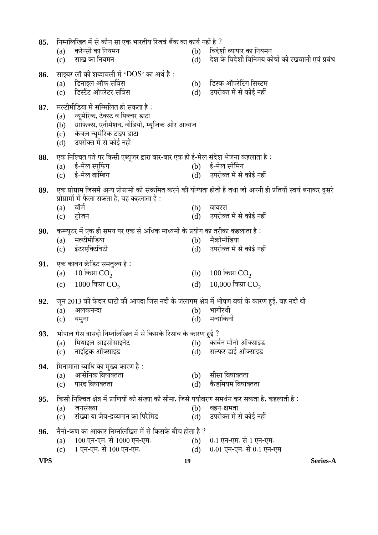- 87. मल्टीमीडिया में सम्मिलित हो सकता है : (a) स्यमेरिक, टेक्स्ट व पिक्चर डाटा  $\overline{a}$ (b) प्राफिक्स, एनीमेशन, वीडियो, म्यूजिक और आवाज (c) केवल न्यूमेरिक टाइप डाटा (d) उपरोक्त में से कोई नहीं 88. एक निश्चित पते पर किसी एब्यूजर द्वारा बार-बार एक ही ई-मेल संदेश भेजना कहलाता है : (a) ई-मेल स्पूफिंग (b) ई-मेल स्पेमिंग<br>(c) ई-मेल बाम्बिंग (d) उपरोक्त में से (c) ‡Ô-´Öê»Ö ²ÖÖØ´²ÖÝÖ (d) ˆ¯Ö¸üÖêŒŸÖ ´Öë ÃÖê ÛúÖê‡Ô ®ÖÆüà 89. एक प्रोग्राम जिसमें अन्य प्रोग्रामों को संक्रमित करने की योग्यता होती है तथा जो अपनी ही प्रतियाँ स्वयं बनाकर दूसरे प्रोग्रामों में फैला सकता है, वह कहलाता है :<br>(a) वॉर्म (a) ¾ÖÖò´ÖÔ (b) ¾ÖÖµÖ¸üÃÖ (c) ™ÒüÖê•Ö®Ö (d) ˆ¯Ö¸üÖêŒŸÖ ´Öë ÃÖê ÛúÖê‡Ô ®ÖÆüà **90.** कम्प्यूटर में एक ही समय पर एक से अधिक माध्यमों के प्रयोग का तरीका कहलाता है :<br>(a) मल्टीमीडिया (a) ´Ö»™üß´Öß×›üµÖÖ (b) ´ÖîÛÎúÖê´Öß×›üµÖÖ (c) इंटरएक्टिविटी (d) उपरोक्त में से कोई नहीं **91.** एक कार्बन क्रेडिट समतल्य है: (a) 10 किय्रा  $CO<sub>2</sub>$ (b) 100 किय्रा  $CO<sub>2</sub>$ (c)  $1000$  किया  $CO<sub>2</sub>$ (d)  $10,000$  किया  $CO<sub>2</sub>$ **92.** • जून 2013 की केदार घाटी की आपदा जिस नदी के जलागम क्षेत्र में भीषण वर्षा के कारण हुई, वह नदी थी<br>(a) अलकनन्दा (a) †»ÖÛú®Ö®¤üÖ (b) ³ÖÖÝÖ߸ü£Öß (c) यमुना (d) मन्दाकिनी **93.** भोपाल गैस त्रासदी निम्नलिखित में से किसके रिसाव के कारण हुई ? (a) ×´Ö£ÖÖ‡»Ö †Ö‡ÃÖÖêÃÖÖ‡®Öê™ü (b) ÛúÖ²ÖÔ®Ö ´ÖÖê®ÖÖê †ÖòŒÃÖÖ‡›ü (c) नाइट्रिक ऑक्साइड (d) सल्फर डाई ऑक्साइड (a) †ÖÃÖì×®ÖÛú ×¾ÖÂÖÖŒŸÖŸÖÖ (b) ÃÖßÃÖÖ ×¾ÖÂÖÖŒŸÖŸÖÖ (c) ¯ÖÖ¸ü¤ü ×¾ÖÂÖÖŒŸÖŸÖÖ (d) Ûîú›ü×´ÖµÖ´Ö ×¾ÖÂÖÖŒŸÖŸÖÖ  $95.$  किसी निश्चित क्षेत्र में प्राणियों की संख्या की सीमा, जिसे पर्यावरण समर्थन कर सकता है, कहलाती है : (a) •Ö®ÖÃÖÓܵÖÖ (b) ¾ÖÆü®Ö-õÖ´ÖŸÖÖ  $\dot{C}$ ) संख्या या जैव-द्रव्यमान का पिरैमिड  $\dot{C}$ **96.** नैनो-कण का आकार निम्नलिखित में से किसके बीच होता है ? (a)  $100$  एन-एम. से  $1000$  एन-एम.<br>
(c)  $1$  एन-एम. से  $100$  एन-एम. (d)  $0.01$  एन-एम. से  $0.1$  एन-(c)  $1 \overline{v}$ न-एम. से 100 एन-एम. (d) 0.01 एन-एम. से 0.1 एन-एम
- 

**VPS 19 Series-A**

- 
- 
- 

**86.** साइबर लॉ की शब्दावली में 'DOS' का अर्थ है :<br>(a) हिनाइल ऑफ सर्विस

- 
- 
- **94.** मिनामाता ब्याधि का मुख्य कारण है :
- 
- 
- **85.** ×®Ö´®Ö×»Ö×ÜÖŸÖ ´Öë ÃÖê ÛúÖî®Ö ÃÖÖ ‹Ûú ³ÖÖ¸üŸÖßµÖ ×¸ü•Ö¾ÖÔ ²ÖïÛú ÛúÖ ÛúÖµÖÔ ®ÖÆüà Æîü ?
	-

(a) डिनाइल ऑफ सर्विस (b) डिस्क ऑपरेटिंग सिस्टम<br>(c) डिस्टैंट ऑपरेटर सर्विस (d) उपरोक्त में से कोई नहीं (c) हिस्टैंट ऑपरेटर सर्विस (d) उपरोक्त में से कोई नहीं

- (a) Ûú¸êü®ÃÖß ÛúÖ ×®ÖµÖ´Ö®Ö (b) ×¾Ö¤êü¿Öß ¾µÖÖ¯ÖÖ¸ü ÛúÖ ×®ÖµÖ´Ö®Ö
- $\overline{c}$ ) साख का नियमन  $\overline{a}$  and the coordinate the contract  $\overline{d}$ )  $\overline{d}$  के विदेशी विनिमय कोषों की रखवाली एवं प्रबंध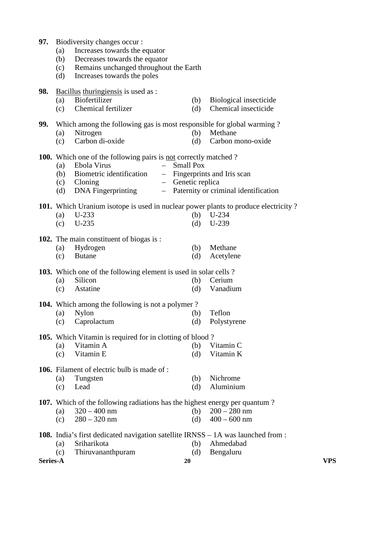| 97. Biodiversity changes occur: |  |
|---------------------------------|--|
|                                 |  |

- (a) Increases towards the equator
- (b) Decreases towards the equator
- (c) Remains unchanged throughout the Earth
- (d) Increases towards the poles
- **98.** Bacillus thuringiensis is used as :
	- (a) Biofertilizer (b) Biological insecticide (c) Chemical fertilizer (d) Chemical insecticide
	-

**99.** Which among the following gas is most responsible for global warming ?

- (a) Nitrogen (b) Methane
- (c) Carbon di-oxide (d) Carbon mono-oxide

# 100. Which one of the following pairs is not correctly matched?

- (a) Ebola Virus Small Pox
- (b) Biometric identification Fingerprints and Iris scan
- (c) Cloning Genetic replica
- (d) DNA Fingerprinting Paternity or criminal identification

### **101.** Which Uranium isotope is used in nuclear power plants to produce electricity ?

| (a) $U-233$ | (b) $U-234$ |
|-------------|-------------|
| (c) $U-235$ | (d) $U-239$ |

#### **102.** The main constituent of biogas is :

| (a) Hydrogen | (b) Methane   |
|--------------|---------------|
| (c) Butane   | (d) Acetylene |

#### **103.** Which one of the following element is used in solar cells ?

 (a) Silicon (b) Cerium (c) Astatine (d) Vanadium

### **104.** Which among the following is not a polymer ?

 (a) Nylon (b) Teflon (c) Caprolactum (d) Polystyrene

#### **105.** Which Vitamin is required for in clotting of blood ?

 (a) Vitamin A (b) Vitamin C (c) Vitamin E (d) Vitamin K

#### **106.** Filament of electric bulb is made of :

 (a) Tungsten (b) Nichrome (c) Lead (d) Aluminium

## **107.** Which of the following radiations has the highest energy per quantum ?

- (a)  $320 400$  nm (b)  $200 280$  nm
- (c)  $280 320$  nm (d)  $400 600$  nm
- **108.** India's first dedicated navigation satellite IRNSS 1A was launched from : (a) Sriharikota (b) Ahmedabad
	- (c) Thiruvananthpuram (d) Bengaluru

**Series-A 20 VPS**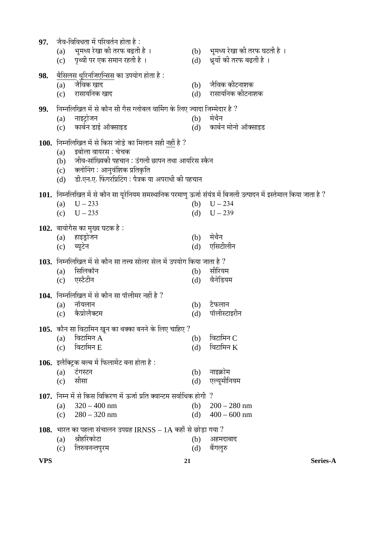| 97.        | जैव-विविधता में परिवर्तन होता है :                                                                                                                                                                                                                       |            |                                                               |
|------------|----------------------------------------------------------------------------------------------------------------------------------------------------------------------------------------------------------------------------------------------------------|------------|---------------------------------------------------------------|
|            | भूमध्य रेखा की तरफ बढ़ती है ।<br>(a)<br>पृथ्वी पर एक समान रहती है ।<br>(c)                                                                                                                                                                               | (d)        | (b) भूमध्य रेखा की तरफ घटती है ।<br>ध्रुवों की तरफ बढ़ती है । |
| 98.        | <u>बैसिलस थूरिनजिएन्सिस</u> का उपयोग होता है :<br>जैविक खाद<br>(a)<br>रासायनिक खाद<br>(c)                                                                                                                                                                | (b)<br>(d) | जैविक कीटनाशक<br>रासायनिक कोटनाशक                             |
| 99.        | निम्नलिखित में से कौन सी गैस ग्लोबल वार्मिंग के लिए ज्यादा जिम्मेदार है ?<br>नाइट्रोजन<br>(a)<br>कार्बन डाई ऑक्साइड<br>(c)                                                                                                                               | (b)        | मेथैन<br>(d) कार्बन मोनो ऑक्साइड                              |
|            | <b>100.</b> निम्नलिखित में से किस जोड़े का मिलान सही नहीं है ?<br>इबोला वायरस : चेचक<br>(a)<br>जीव-सांख्यिकी पहचान : उंगली छापन तथा आयरिस स्कैन<br>(b)<br>(c) क्लोनिंग : आनुवंशिक प्रतिकृति<br>डी.एन.ए. फिंगरप्रिटिंग : पैत्रक या अपराधी की पहचान<br>(d) |            |                                                               |
|            | 101. निम्नलिखित में से कौन सा यूरेनियम समस्थानिक परमाणु ऊर्जा संयंत्र में बिजली उत्पादन में इस्तेमाल किया जाता है ?<br>$U - 233$<br>(a)<br>$U - 235$<br>(c)                                                                                              | (d)        | (b) $U - 234$<br>$U - 239$                                    |
|            | 102. बायोगैस का मुख्य घटक है :<br>(a) हाइड्रोजन<br>ब्यूटेन<br>(c)                                                                                                                                                                                        | (b)<br>(d) | मेथैन<br>एसिटीलीन                                             |
|            | 103. निम्नलिखित में से कौन सा तत्त्व सोलर सेल में उपयोग किया जाता है ?<br>सिलिकॉन<br>(a)<br>एस्टैटीन<br>(c)                                                                                                                                              | (b)<br>(d) | सीरियम<br>वैनेडियम                                            |
|            | 104. निम्नलिखित में से कौन सा पॉलीमर नहीं है ?<br>नॉयलान<br>(a)<br>कैप्रोलैक्टम<br>(c)                                                                                                                                                                   | (b)<br>(d) | टैफलान<br>पॉलीस्टाइरीन                                        |
|            | <b>105.</b> कौन सा विटामिन खून का थक्का बनने के लिए चाहिए ?<br>विटामिन $A$<br>(a)<br>विटामिन E<br>(c)                                                                                                                                                    | (b)<br>(d) | विटामिन $\mathbf C$<br>विटामिन $K$                            |
|            | 106. इलैक्ट्रिक बल्ब में फिलामेंट बना होता है:<br>टंगस्टन<br>(a)<br>सीसा<br>(c)                                                                                                                                                                          | (b)<br>(d) | नाइक्रोम<br>एल्यूमीनियम                                       |
|            | $107.$ निम्न में से किस विकिरण में ऊर्जा प्रति क्वान्टम सर्वाधिक होगी $?$<br>$320 - 400$ nm<br>(a)<br>$280 - 320$ nm<br>(c)                                                                                                                              | (b)<br>(d) | $200 - 280$ nm<br>$400 - 600$ nm                              |
|            | 108. भारत का पहला संचालन उपग्रह IRNSS $-1A$ कहाँ से छोड़ा गया ?<br>श्रीहरिकोटा<br>(a)<br>तिरुवनन्तपुरम<br>(c)                                                                                                                                            | (b)<br>(d) | अहमदाबाद<br>बैंगलूरु                                          |
| <b>VPS</b> |                                                                                                                                                                                                                                                          | 21         | Series-A                                                      |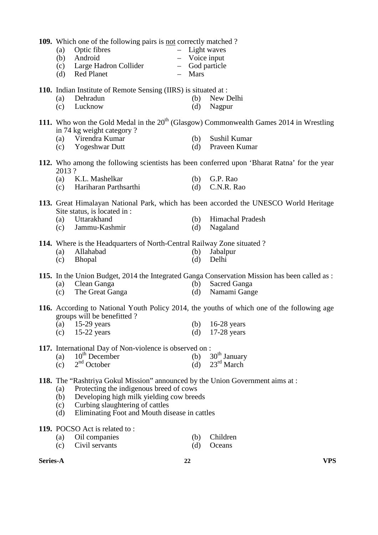**109.** Which one of the following pairs is not correctly matched ?

- (a) Optic fibres Light waves (b) Android – Voice input
	-
- (c) Large Hadron Collider God particle (d) Red Planet
- 
- **110.** Indian Institute of Remote Sensing (IIRS) is situated at :
	- (a) Dehradun (b) New Delhi
	- (c) Lucknow (d) Nagpur
- **111.** Who won the Gold Medal in the  $20<sup>th</sup>$  (Glasgow) Commonwealth Games 2014 in Wrestling in 74 kg weight category ?
	- (a) Virendra Kumar (b) Sushil Kumar
		-
	- (c) Yogeshwar Dutt (d) Praveen Kumar
- **112.** Who among the following scientists has been conferred upon 'Bharat Ratna' for the year 2013 ?
	- (a) K.L. Mashelkar (b) G.P. Rao
	- (c) Hariharan Parthsarthi (d) C.N.R. Rao
- **113.** Great Himalayan National Park, which has been accorded the UNESCO World Heritage Site status, is located in :
	-
	- (a) Uttarakhand (b) Himachal Pradesh<br>
	(c) Jammu-Kashmir (d) Nagaland  $\text{(c)}$  Jammu-Kashmir (d)
- **114.** Where is the Headquarters of North-Central Railway Zone situated ?
	- (a) Allahabad (b) Jabalpur
	- (c) Bhopal (d) Delhi
- **115.** In the Union Budget, 2014 the Integrated Ganga Conservation Mission has been called as :
	- (a) Clean Ganga (b) Sacred Ganga
	- (c) The Great Ganga (d) Namami Gange
- **116.** According to National Youth Policy 2014, the youths of which one of the following age groups will be benefitted ?
	- (a) 15-29 years (b) 16-28 years
	- (c) 15-22 years (d) 17-28 years
- **117.** International Day of Non-violence is observed on :<br>(a)  $10^{th}$  December (b)  $30^{th}$  January
- (a)  $10^{th}$  December (b)  $30^{th}$  January
- (c)  $2<sup>nd</sup> October$  (d)  $23<sup>rd</sup> March$
- **118.** The "Rashtriya Gokul Mission" announced by the Union Government aims at :
	- (a) Protecting the indigenous breed of cows
	- (b) Developing high milk yielding cow breeds
	- (c) Curbing slaughtering of cattles
	- (d) Eliminating Foot and Mouth disease in cattles
- **119.** POCSO Act is related to :
	- (a) Oil companies (b) Children
	- (c) Civil servants (d) Oceans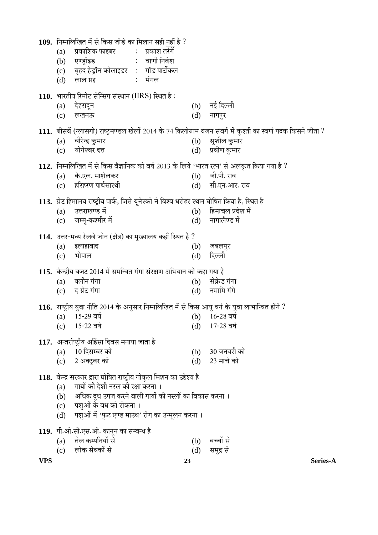|            | <b>109.</b> निम्नलिखित में से किस जोड़े का मिलान सही नहीं है ?<br>प्रकाशिक फाइबर                 प्रकाश तरंगें<br>(a)<br>: वाणी निवेश<br>एण्ड्रॉइड<br>(b)<br>बृहद हेड्रॉन कोलाइडर : गॉड पार्टीकल<br>(c)<br>मंगल<br>लाल ग्रह<br>$\mathbb{Z}^{\times}$<br>(d)                  |                  |                                        |
|------------|------------------------------------------------------------------------------------------------------------------------------------------------------------------------------------------------------------------------------------------------------------------------------|------------------|----------------------------------------|
|            | 110. भारतीय रिमोट सेन्सिंग संस्थान (IIRS) स्थित है :<br>देहरादून<br>(a)<br>लखनऊ<br>(c)                                                                                                                                                                                       | (d)              | (b) नई दिल्ली<br>नागपुर                |
|            | 111. बीसवें (ग्लासगो) राष्ट्रमण्डल खेलों 2014 के 74 किलोग्राम वजन संवर्ग में कुश्ती का स्वर्ण पदक किसने जीता ?<br>वीरेन्द्र कुमार<br>(a)<br>योगेश्वर दत्त<br>(c)                                                                                                             | (b)<br>(d)       | सुशील कुमार<br>प्रवीण कुमार            |
|            | 112. निम्नलिखित में से किस वैज्ञानिक को वर्ष 2013 के लिये 'भारत रत्न' से अलंकृत किया गया है ?<br>के.एल. माशेलकर<br>(a)<br>(c) हरिहरण पार्थसारथी                                                                                                                              | (b)<br>(d)       | जी.पी. राव<br>सी.एन.आर. राव            |
|            | 113. ग्रेट हिमालय राष्ट्रीय पार्क, जिसे यूनेस्को ने विश्व धरोहर स्थल घोषित किया है, स्थित है<br>उत्तराखण्ड में<br>(a)<br>जम्मू-कश्मीर में<br>(c)                                                                                                                             | (d)              | (b) हिमाचल प्रदेश में<br>नागालैण्ड में |
|            | 114. उत्तर-मध्य रेलवे जोन (क्षेत्र) का मुख्यालय कहाँ स्थित है ?<br>इलाहाबाद<br>(a)<br>भोपाल<br>(c)                                                                                                                                                                           | (b)<br>(d)       | जबलपुर<br>दिल्ली                       |
|            | 115. केन्द्रीय बजट 2014 में समन्वित गंगा संरक्षण अभियान को कहा गया है<br>क्लीन गंगा<br>(a)<br>द ग्रेट गंगा<br>(c)                                                                                                                                                            | (b)<br>(d)       | सेक्रेड गंगा<br>नमामि गंगे             |
|            | 116. राष्ट्रीय युवा नीति 2014 के अनुसार निम्नलिखित में से किस आयु वर्ग के युवा लाभान्वित होंगे ?<br>15-29 वर्ष<br>(a)<br>15-22 वर्ष<br>(c)                                                                                                                                   | (b)<br>(d)       | $16 - 28$ নৰ্ষ<br>$17-28$ নৰ্ष         |
|            | 117. अन्तर्राष्ट्रीय अहिंसा दिवस मनाया जाता है<br>10 दिसम्बर को<br>(a)<br>(c) 2 अक्टूबर को                                                                                                                                                                                   | (b)<br>(d)       | 30 जनवरी को<br>23 मार्च को             |
|            | 118. केन्द्र सरकार द्वारा घोषित राष्ट्रीय गोकुल मिशन का उद्देश्य है<br>गायों की देशी नस्ल की रक्षा करना ।<br>(a)<br>अधिक दूध उपज करने वाली गायों की नस्लों का विकास करना ।<br>(b)<br>पशुओं के वध को रोकना ।<br>(c)<br>पशुओं में 'फुट एण्ड माउथ' रोग का उन्मूलन करना ।<br>(d) |                  |                                        |
| <b>VPS</b> | 119. पी.ओ.सी.एस.ओ. कानून का सम्बन्ध है<br>तेल कम्पनियों से<br>(a)<br>लोक सेवकों से<br>(c)                                                                                                                                                                                    | (b)<br>(d)<br>23 | बच्चों से<br>समुद्र से<br>Series-A     |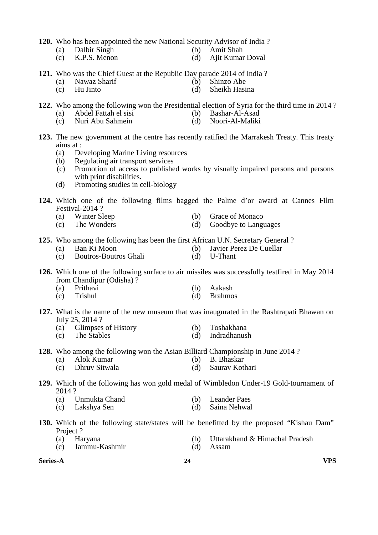**120.** Who has been appointed the new National Security Advisor of India ?<br>(a) Dalbir Singh (b) Amit Shah

- 
- (a) Dalbir Singh (b) Amit Shah<br>
(c) K.P.S. Menon (d) Aiit Kumar (c) K.P.S. Menon (d) Ajit Kumar Doval
	-
- **121.** Who was the Chief Guest at the Republic Day parade 2014 of India ?<br>(a) Nawaz Sharif (b) Shinzo Abe
	- (a) Nawaz Sharif (b) Shinzo Abe
	- (c) Hu Jinto (d) Sheikh Hasina
- **122.** Who among the following won the Presidential election of Syria for the third time in 2014 ?
	- (a) Abdel Fattah el sisi (b) Bashar-Al-Asad<br>
	(c) Nuri Abu Sahmein (d) Noori-Al-Maliki
	- (c) Nuri Abu Sahmein (d)
- **123.** The new government at the centre has recently ratified the Marrakesh Treaty. This treaty aims at :
	- (a) Developing Marine Living resources
	- (b) Regulating air transport services
	- (c) Promotion of access to published works by visually impaired persons and persons with print disabilities.
	- (d) Promoting studies in cell-biology
- **124.** Which one of the following films bagged the Palme d'or award at Cannes Film Festival-2014 ?
	-
	- (a) Winter Sleep (b) Grace of Monaco<br>
	(c) The Wonders (d) Goodbve to Langu (c) The Wonders (d) Goodbye to Languages
- **125.** Who among the following has been the first African U.N. Secretary General ?<br>(a) Ban Ki Moon (b) Javier Perez De Cuellar
	- (a) Ban Ki Moon (b) Javier Perez De Cuellar
	- (c) Boutros-Boutros Ghali (d) U-Thant
- 
- **126.** Which one of the following surface to air missiles was successfully testfired in May 2014

from Chandipur (Odisha) ?<br>(a) Prithavi

- (a) Prithavi (b) Aakash (c) Trishul (d) Brahmo
- (c) Trishul (d) Brahmos
- **127.** What is the name of the new museum that was inaugurated in the Rashtrapati Bhawan on July 25, 2014 ?
	- (a) Glimpses of History (b) Toshakhana
	- (c) The Stables (d) Indradhanush
- **128.** Who among the following won the Asian Billiard Championship in June 2014 ?<br>(a) Alok Kumar (b) B. Bhaskar
	- (a) Alok Kumar (b)<br>
	(c) Dhruy Sitwala (d)
	- (c) Dhruv Sitwala (d) Saurav Kothari

## **129.** Which of the following has won gold medal of Wimbledon Under-19 Gold-tournament of 2014 ?

- (a) Unmukta Chand (b) Leander Paes<br>
(c) Lakshva Sen (d) Saina Nehwal
- (c) Lakshya Sen  $(d)$

## **130.** Which of the following state/states will be benefitted by the proposed "Kishau Dam" Project ?

- (a) Haryana (b) Uttarakhand & Himachal Pradesh<br>
(c) Jammu-Kashmir (d) Assam
- $\text{(c)}$  Jammu-Kashmir (d)

**Series-A 24 VPS**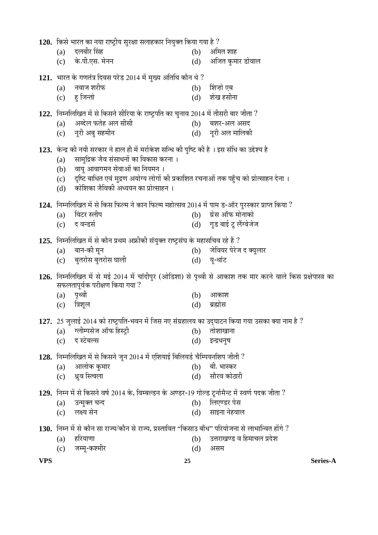|            |            | 120. किसे भारत का नया राष्ट्रीय सुरक्षा सलाहकार नियुक्त किया गया है ?                                                             |            |                                                                                                              |
|------------|------------|-----------------------------------------------------------------------------------------------------------------------------------|------------|--------------------------------------------------------------------------------------------------------------|
|            | (a)        | दलबीर सिंह                                                                                                                        | (b)        | अमित शाह                                                                                                     |
|            |            | (c) के.पी.एस. मेनन                                                                                                                | (d)        | अजित कुमार डोवाल                                                                                             |
|            |            | 121. भारत के गणतंत्र दिवस परेड 2014 में मुख्य अतिथि कौन थे ?                                                                      |            |                                                                                                              |
|            | (a)        | नवाज शरीफ                                                                                                                         | (b)        | शिज़ो एब                                                                                                     |
|            |            | (c) हु जिन्तो                                                                                                                     | (d)        | शेख हसीना                                                                                                    |
|            |            | 122. निम्नलिखित में से किसने सीरिया के राष्ट्रपति का चुनाव 2014 में तीसरी बार जीता ?                                              |            |                                                                                                              |
|            | (a)        | अब्देल फतेह अल सीसी                                                                                                               |            | (b) बशर-अल असद                                                                                               |
|            |            | (c) नूरी अबु सहमीन                                                                                                                |            | (d) नूरी अल मालिकी                                                                                           |
|            |            | 123. केन्द्र की नयी सरकार ने हाल ही में मर्राकेश सन्धि की पुष्टि की है । इस संधि का उद्देश्य है                                   |            |                                                                                                              |
|            | (a)        | सामुद्रिक जैव संसाधनों का विकास करना ।                                                                                            |            |                                                                                                              |
|            | (b)        | वायु आवागमन सेवाओं का नियमन ।                                                                                                     |            |                                                                                                              |
|            | (d)        | (c) दृष्टि बाधित एवं मुद्रण अयोग्य लोगों की प्रकाशित रचनाओं तक पहुँच को प्रोत्साहन देना ।<br>कोशिका जैविकी अध्ययन का प्रोत्साहन । |            |                                                                                                              |
|            |            |                                                                                                                                   |            |                                                                                                              |
|            |            | 124. निम्नलिखित में से किस फिल्म ने कान फिल्म महोत्सव 2014 में पाम ड-ऑर पुरस्कार प्राप्त किया ?                                   |            |                                                                                                              |
|            | (a)        | विंटर स्लीप<br>(c) द वन्डर्स                                                                                                      | (b)        | ग्रेस ऑफ मोनाको<br>(d) गुड बाई टू लैंग्वेजेज                                                                 |
|            |            |                                                                                                                                   |            |                                                                                                              |
|            |            | 125. निम्नलिखित में से कौन प्रथम अफ्रीकी संयुक्त राष्ट्रसंघ के महासचिव रहे हैं ?                                                  |            |                                                                                                              |
|            | (a)        | बान-की मून<br>(c) बुतरोस बुतरोस घाली                                                                                              | (b)        | जेवियर पेरेज द क्यूलार                                                                                       |
|            |            |                                                                                                                                   | (d)        | यू-थांट                                                                                                      |
|            |            |                                                                                                                                   |            | 126. निम्नलिखित में से मई 2014 में चांदीपुर (ओडिशा) से पृथ्वी से आकाश तक मार करने वाले किस प्रक्षेपास्त्र का |
|            |            | सफलतापूर्वक परीक्षण किया गया ?<br>(a) पृथ्वी                                                                                      | (b)        | आकाश                                                                                                         |
|            | (c)        | त्रिशूल                                                                                                                           | (d)        | ब्रह्मोस                                                                                                     |
|            |            |                                                                                                                                   |            |                                                                                                              |
|            |            | 127. 25 जुलाई 2014 को राष्ट्रपति-भवन में जिस नए संग्रहालय का उद्घाटन किया गया उसका क्या नाम है ?<br>ग्लीम्पसेज ऑफ हिस्ट्री        |            | तोशाखाना                                                                                                     |
|            | (a)<br>(c) | द स्टेबल्स                                                                                                                        | (b)<br>(d) | इन्द्रधनुष                                                                                                   |
|            |            |                                                                                                                                   |            |                                                                                                              |
|            |            | 128. निम्नलिखित में से किसने जून 2014 में एशियाई बिलियर्ड चैम्पियनशिप जीती ?                                                      |            |                                                                                                              |
|            | (a)<br>(c) | आलोक कुमार<br>ध्रुव स्त्विला                                                                                                      | (b)<br>(d) | बी. भास्कर<br>सौरव कोठारी                                                                                    |
|            |            |                                                                                                                                   |            |                                                                                                              |
|            |            | 129. निम्न में से किसने वर्ष 2014 के, विम्बल्डन के अण्डर-19 गोल्ड टूर्नामैन्ट में स्वर्ण पदक जीता ?                               |            |                                                                                                              |
|            | (a)<br>(c) | उन्मुक्त चन्द<br>लक्ष्य सेन                                                                                                       | (b)<br>(d) | लिएण्डर पेस<br>साइना नेहवाल                                                                                  |
|            |            |                                                                                                                                   |            |                                                                                                              |
|            |            | 130.  निम्न में से कौन सा राज्य/कौन से राज्य, प्रस्तावित ''किसाउ बाँध'' परियोजना से लाभान्वित होंगे ?                             |            |                                                                                                              |
|            | (a)<br>(c) | हरियाणा<br>जम्मू-कश्मीर                                                                                                           | (b)<br>(d) | उत्तराखण्ड व हिमाचल प्रदेश<br>असम                                                                            |
|            |            |                                                                                                                                   |            |                                                                                                              |
| <b>VPS</b> |            | 25                                                                                                                                |            | Series-A                                                                                                     |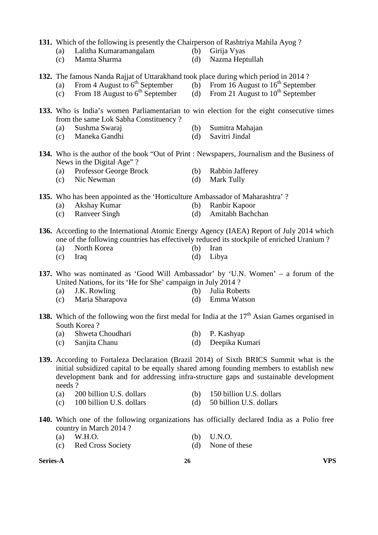|                 | (a)<br>(c)    | From 4 August to 6 <sup>th</sup> September<br>From 18 August to $6^{th}$ September |            | (b) From 16 August to $16^{th}$ September<br>(d) From 21 August to $10^{th}$ September                                                                                                                                                                                     |
|-----------------|---------------|------------------------------------------------------------------------------------|------------|----------------------------------------------------------------------------------------------------------------------------------------------------------------------------------------------------------------------------------------------------------------------------|
|                 |               | from the same Lok Sabha Constituency?                                              |            | 133. Who is India's women Parliamentarian to win election for the eight consecutive times                                                                                                                                                                                  |
|                 | (a)<br>(c)    | Sushma Swaraj<br>Maneka Gandhi                                                     | (b)<br>(d) | Sumitra Mahajan<br>Savitri Jindal                                                                                                                                                                                                                                          |
|                 |               | News in the Digital Age"?                                                          |            | 134. Who is the author of the book "Out of Print : Newspapers, Journalism and the Business of                                                                                                                                                                              |
|                 | (a)<br>(c)    | Professor George Brock<br>Nic Newman                                               | (b)<br>(d) | Rabbin Jafferey<br>Mark Tully                                                                                                                                                                                                                                              |
|                 |               | 135. Who has been appointed as the 'Horticulture Ambassador of Maharashtra'?       |            |                                                                                                                                                                                                                                                                            |
|                 | (a)<br>(c)    | Akshay Kumar<br><b>Ranveer Singh</b>                                               | (b)<br>(d) | Ranbir Kapoor<br>Amitabh Bachchan                                                                                                                                                                                                                                          |
|                 | (a)           | North Korea                                                                        | (b)        | 136. According to the International Atomic Energy Agency (IAEA) Report of July 2014 which<br>one of the following countries has effectively reduced its stockpile of enriched Uranium?<br>Iran                                                                             |
|                 | (c)           | Iraq                                                                               | (d)        | Libya                                                                                                                                                                                                                                                                      |
|                 |               | United Nations, for its 'He for She' campaign in July 2014?                        |            | 137. Who was nominated as 'Good Will Ambassador' by 'U.N. Women' - a forum of the                                                                                                                                                                                          |
|                 | (a)<br>(c)    | J.K. Rowling<br>Maria Sharapova                                                    | (b)<br>(d) | Julia Roberts<br>Emma Watson                                                                                                                                                                                                                                               |
|                 |               | South Korea?                                                                       |            | 138. Which of the following won the first medal for India at the $17th$ Asian Games organised in                                                                                                                                                                           |
|                 | (a)           | Shweta Choudhari                                                                   | (b)        | P. Kashyap                                                                                                                                                                                                                                                                 |
|                 | (c)           | Sanjita Chanu                                                                      | (d)        | Deepika Kumari                                                                                                                                                                                                                                                             |
|                 |               |                                                                                    |            | 139. According to Fortaleza Declaration (Brazil 2014) of Sixth BRICS Summit what is the<br>initial subsidized capital to be equally shared among founding members to establish new<br>development bank and for addressing infra-structure gaps and sustainable development |
|                 | needs?<br>(a) | 200 billion U.S. dollars                                                           | (b)        | 150 billion U.S. dollars                                                                                                                                                                                                                                                   |
|                 | (c)           | 100 billion U.S. dollars                                                           | (d)        | 50 billion U.S. dollars                                                                                                                                                                                                                                                    |
|                 |               | country in March 2014?                                                             |            | 140. Which one of the following organizations has officially declared India as a Polio free                                                                                                                                                                                |
|                 | (a)           | W.H.O.                                                                             | (b)        | <b>U.N.O.</b>                                                                                                                                                                                                                                                              |
|                 | (c)           | <b>Red Cross Society</b>                                                           | (d)        | None of these                                                                                                                                                                                                                                                              |
| <b>Series-A</b> |               | 26                                                                                 |            | VPS                                                                                                                                                                                                                                                                        |
|                 |               |                                                                                    |            |                                                                                                                                                                                                                                                                            |
|                 |               |                                                                                    |            |                                                                                                                                                                                                                                                                            |

**131.** Which of the following is presently the Chairperson of Rashtriya Mahila Ayog ?

**132.** The famous Nanda Rajjat of Uttarakhand took place during which period in 2014 ?

 (a) Lalitha Kumaramangalam (b) Girija Vyas (c) Mamta Sharma (d) Nazma Heptullah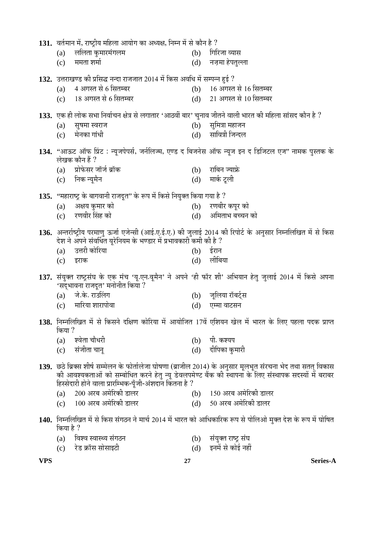|           | 131. वर्तमान में, राष्ट्रीय महिला आयोग का अध्यक्ष, निम्न में से कौन है ?                                |     |                                                                                                                                                                                                                       |
|-----------|---------------------------------------------------------------------------------------------------------|-----|-----------------------------------------------------------------------------------------------------------------------------------------------------------------------------------------------------------------------|
| (a)       | ललिता कुमारमंगलम                                                                                        | (b) | गिरिजा व्यास                                                                                                                                                                                                          |
| (c)       | ममता शर्मा                                                                                              | (d) | नज़मा हेपतुल्ला                                                                                                                                                                                                       |
|           | 132. उत्तराखण्ड की प्रसिद्ध नन्दा राजजात 2014 में किस अवधि में सम्पन्न हुई ?                            |     |                                                                                                                                                                                                                       |
| (a)       | 4 अगस्त से 6 सितम्बर                                                                                    | (b) | 16 अगस्त से 16 सितम्बर                                                                                                                                                                                                |
|           | (c) 18 अगस्त से 6 सितम्बर                                                                               |     | (d) 21 अगस्त से 10 सितम्बर                                                                                                                                                                                            |
|           | 133. एक ही लोक सभा निर्वाचन क्षेत्र से लगातार 'आठवीं बार' चुनाव जीतने वाली भारत की महिला सांसद कौन है ? |     |                                                                                                                                                                                                                       |
| (a)       | सूषमा स्वराज                                                                                            | (b) | सुमित्रा महाजन                                                                                                                                                                                                        |
| (c)       | मेनका गांधी                                                                                             | (d) | सावित्री जिन्दल                                                                                                                                                                                                       |
|           |                                                                                                         |     | 134. "आऊट ऑफ प्रिंट : न्यूजपेपर्स, जर्नलिज्म, एण्ड द बिजनेस ऑफ न्यूज इन द डिजिटल एज" नामक पुस्तक के                                                                                                                   |
|           | लेखक कौन हैं ?                                                                                          |     |                                                                                                                                                                                                                       |
| (a)       | प्रोफेसर जॉर्ज ब्रॉक                                                                                    | (b) | राबिन ज्याफ्रे                                                                                                                                                                                                        |
| (c)       | निक न्यूमैन                                                                                             | (d) | मार्क टूली                                                                                                                                                                                                            |
|           | 135. "महाराष्ट्र के बागवानी राजदूत" के रूप में किसे नियुक्त किया गया है ?                               |     |                                                                                                                                                                                                                       |
| (a)       | अक्षय कुमार को                                                                                          | (b) | रणबीर कपूर को                                                                                                                                                                                                         |
| (c)       | रणवीर सिंह को                                                                                           |     | (d) अमिताभ बच्चन को                                                                                                                                                                                                   |
|           |                                                                                                         |     | 136. अन्तर्राष्ट्रीय परमाणु ऊर्जा एजेन्सी (आई.ए.ई.ए.) की जुलाई 2014 की रिपोर्ट के अनुसार निम्नलिखित में से किस                                                                                                        |
|           | देश ने अपने संवर्धित यूरेनियम के भण्डार में प्रभावकारी कमी की है ?                                      |     |                                                                                                                                                                                                                       |
| (a)       | उत्तरी कोरिया                                                                                           | (b) | ईरान                                                                                                                                                                                                                  |
| (c)       | इराक                                                                                                    | (d) | लीबिया                                                                                                                                                                                                                |
|           | 'सद्भावना राजदूत' मनोनीत किया ?                                                                         |     | 137. संयुक्त राष्ट्रसंघ के एक मंच 'यू.एन.वूमैन' ने अपने 'ही फॉर शी' अभियान हेतु जुलाई 2014 में किसे अपना                                                                                                              |
|           | (a) जे.के. राउलिंग                                                                                      |     | (b) जूलिया रॉबर्ट्स                                                                                                                                                                                                   |
| (c)       | मारिया शारापोवा                                                                                         | (d) | एम्मा वाटसन                                                                                                                                                                                                           |
| किया ?    |                                                                                                         |     | 138. निम्नलिखित में से किसने दक्षिण कोरिया में आयोजित 17वें एशियन खेल में भारत के लिए पहला पदक प्राप्त                                                                                                                |
| (a)       | श्वेता चौधरी                                                                                            | (b) | पी. कश्यप                                                                                                                                                                                                             |
| (c)       | संजीता चानू                                                                                             | (d) | दीपिका कुमारी                                                                                                                                                                                                         |
|           | हिस्सेदारी होने वाला प्रारम्भिक-पूँजी-अंशदान कितना है ?                                                 |     | 139. छठे ब्रिक्स शीर्ष सम्मेलन के फोर्तालेजा घोषणा (ब्राजील 2014) के अनुसार मूलभूत संरचना भेद तथा सतत् विकास<br>की आवश्यकताओं को सम्बोधित करने हेतु न्यू डेवलपमेण्ट बैंक की स्थापना के लिए संस्थापक सदस्यों में बराबर |
| (a)       | 200 अरब अमेरिकी डालर                                                                                    |     | (b) 150 अरब अमेरिकी डालर                                                                                                                                                                                              |
|           | (c) 100 अरब अमेरिकी डालर                                                                                |     | (d) 50 अरब अमेरिकी डालर                                                                                                                                                                                               |
| किया है ? |                                                                                                         |     | 140. निम्नलिखित में से किस संगठन ने मार्च 2014 में भारत को आधिकारिक रूप से पोलिओ मुक्त देश के रूप में घोषित                                                                                                           |
| (a)       | विश्व स्वास्थ्य संगठन                                                                                   | (b) | संयुक्त राष्ट्र संघ                                                                                                                                                                                                   |

(c) रेड क्रॉस सोसाइटी (d) इनमें से कोई नहीं

**VPS 27 Series-A**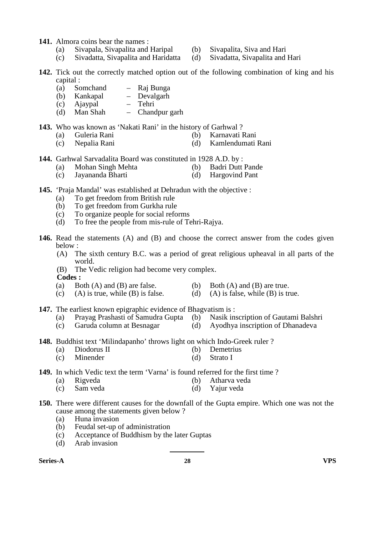- **141.** Almora coins bear the names :
	- (a) Sivapala, Sivapalita and Haripal (b) Sivapalita, Siva and Hari
	- (c) Sivadatta, Sivapalita and Haridatta (d) Sivadatta, Sivapalita and Hari
- **142.** Tick out the correctly matched option out of the following combination of king and his capital :
	- (a) Somchand Raj Bunga
	- (b) Kankapal Devalgarh
	- (c) Ajaypal Tehri
	- (d) Man Shah Chandpur garh

#### **143.** Who was known as 'Nakati Rani' in the history of Garhwal ?

- (a) Guleria Rani (b) Karnavati Rani
- (c) Nepalia Rani (d) Kamlendumati Rani
- **144.** Garhwal Sarvadalita Board was constituted in 1928 A.D. by :<br>
(a) Mohan Singh Mehta (b) Badri Dutt Pande
	- (a) Mohan Singh Mehta  $(b)$
	- (c) Jayananda Bharti (d) Hargovind Pant
- **145.** 'Praja Mandal' was established at Dehradun with the objective :
	- (a) To get freedom from British rule<br>(b) To get freedom from Gurkha rule
	- To get freedom from Gurkha rule
	- (c) To organize people for social reforms
	- (d) To free the people from mis-rule of Tehri-Rajya.
- **146.** Read the statements (A) and (B) and choose the correct answer from the codes given below :<br>(A)  $T$ 
	- The sixth century B.C. was a period of great religious upheaval in all parts of the world.
	- (B) The Vedic religion had become very complex.
	- **Codes :**
	-
	- (a) Both  $(A)$  and  $(B)$  are false. (b) Both  $(A)$  and  $(B)$  are true.
	- (c) (A) is true, while (B) is false. (d) (A) is false, while (B) is true.
- **147.** The earliest known epigraphic evidence of Bhagvatism is :<br>(a) Prayage Prashasti of Samudra Gunta (b) Nasik inscription of Gautami Balshri
	- (a) Prayag Prashasti of Samudra Gupta  $(b)$
	- (c) Garuda column at Besnagar (d) Ayodhya inscription of Dhanadeva
- **148.** Buddhist text 'Milindapanho' throws light on which Indo-Greek ruler ?
	-
	- (a) Diodorus II (b) Demetrius<br>
	(c) Minender (d) Strato I Minender
- **149.** In which Vedic text the term 'Varna' is found referred for the first time ?
	- (a) Rigveda (b) Atharva veda<br>
	(c) Sam veda (d) Yaiur veda (d) Yajur veda
- **150.** There were different causes for the downfall of the Gupta empire. Which one was not the
	- cause among the statements given below ?
	-
	- (a) Huna invasion<br>(b) Feudal set-up of Feudal set-up of administration
	- (c) Acceptance of Buddhism by the later Guptas
	- (d) Arab invasion

| <b>VPS</b><br>Series-A<br>എ<br>40. |
|------------------------------------|
|------------------------------------|

- 
- -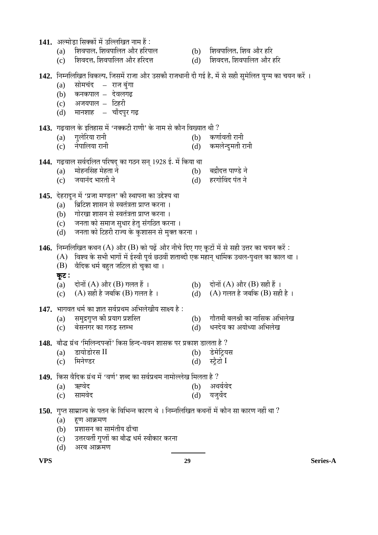- 1**41.** अल्मोडा सिक्कों में उल्लिखित नाम हैं :
	- (a) शिवपाल, शिवपालित और हरिपाल (b) शिवपालित, शिव और हरि<br>(c) शिवदत्त, शिवपालित और हरिदत्त (d) शिवदत्त, शिवपालित और :
	- $(c)$  शिवदत्त, शिवपालित और हरिदत्त (d) शिवदत्त, शिवपालित और हरि
- -
- $142.$  निम्नलिखित विकल्प, जिसमें राजा और उसकी राजधानी दी गई है, में से सही सुमेलित युग्म का चयन करें ।
	- (a) सोमचंद राज बंगा
	- $(b)$  कनकपाल देवलगढ
	- $(c)$  अजयपाल टिहरी
	- $(d)$  मानशाह चाँदपुर गढ़

## 143. गढ़वाल के इतिहास में 'नक्कटी राणी' के नाम से कौन विख्यात थी ?

- (a) ÝÖã»Öê׸üµÖÖ ¸üÖ®Öß (b) ÛúÞÖÖÔ¾ÖŸÖß ¸üÖ®Öß
- (c) ®Öê¯ÖÖ×»ÖµÖÖ ¸üÖ®Öß (d) Ûú´Ö»Öꮤãü´ÖŸÖß ¸üÖ®Öß
- 144. गढ़वाल सर्वदलित परिषद का गठन सन् 1928 ई. में किया था
	- (a)  $\overrightarrow{u}$  मोहनसिंह मेहता ने  $\overrightarrow{d}$  ) बद्रीदत्त पाण्डे ने
	- (c) •ÖµÖÖ®ÖÓ¤ü ³ÖÖ¸üŸÖß ®Öê (d) Æü¸üÝÖÖêØ¾Ö¤ü ¯ÖÓŸÖ ®Öê
- 145. देहरादुन में 'प्रजा मण्डल' की स्थापना का उद्देश्य था
	- (a) भिटिश शासन से स्वतंत्रता प्राप्त करना ।
	- (b) गोरखा शासन से स्वतंत्रता प्राप्त करना ।
	- (c) जनता को समाज सुधार हेतु संगठित करना ।
	- (d) जिनता को टिहरी राज्य के कुशासन से मुक्त करना ।

146. निम्नलिखित कथन (A) और (B) को पढ़ें और नीचे दिए गए कुटों में से सही उत्तर का चयन करें:

- $(A)$  विश्व के सभी भागों में ईस्वी पूर्व छठवीं शताब्दी एक महान् धार्मिक उथल-पुथल का काल था ।
- $(B)$  वैदिक धर्म बहुत जटिल हो चका था।
- कूट:
- (a) दोनों (A) और (B) गलत हैं ।  $\qquad$  (b) दोनों (A) और (B) सही हैं ।<br>(c)  $\qquad$  (A) सही है जबकि (B) गलत है ।  $\qquad$  (d)  $\qquad$  (A) गलत है जबकि (B) सही
- (c)  $(A)$  सही है जबकि (B) गलत है ।  $(A)$  (A) गलत है जबकि (B) सही है ।
- **147.** भागवत धर्म का ज्ञात सर्वप्रथम अभिलेखीय साक्ष्य है :<br>(a) समुद्रगुप्त की प्रयाग प्रशस्ति
	-
	- (a) समुद्रगुप्त को प्रयाग प्रशस्ति (b) गौतमी बलश्री का नासिक अभिलेख<br>(c) बेसनगर का गरुड़ स्तम्भ (d) धनदेव का अयोध्या अभिलेख (c) बेसनगर का गरुड स्तम्भ (d) धनदेव का अयोध्या अभिलेख
- 148. बौद्ध ग्रंथ 'मिलिन्दपन्हों' किस हिन्द-यवन शासक पर प्रकाश डालता है ?
	- (a) डायोडोरस $\text{II}$  (b) डेमेट्रियस<br>(c) मिनेण्डर (d) स्टैटो
- (c) मिनेण्डर (d) स्ट्रैटो I

149. किस वैदिक ग्रंथ में 'वर्ण' शब्द का सर्वप्रथम नामोल्लेख मिलता है ?

| (a) ऋग्वेद | (b) अथर्ववेद |
|------------|--------------|
| (c) सामवेद | (d) यजुर्वेद |

- $\,$  **150.** गुप्त साम्राज्य के पतन के विभिन्न कारण थे । निम्नलिखित कथनों में कौन सा कारण नहीं था ?
	- $(a)$  हूण आक्रमण
	- (b) प्रशासन का सामंतीय ढाँचा
	- (c) उत्तरवर्ती गुप्तों का बौद्ध धर्म स्वीकार करना
	- (d) अरब आक्रमण

**VPS 29 Series-A**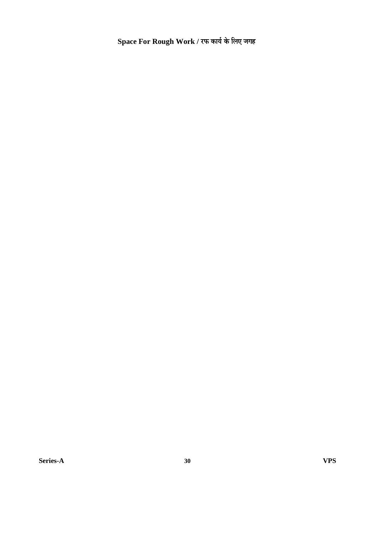$Space$  For Rough Work / रफ कार्य के लिए जगह

**Series-A 30 VPS**